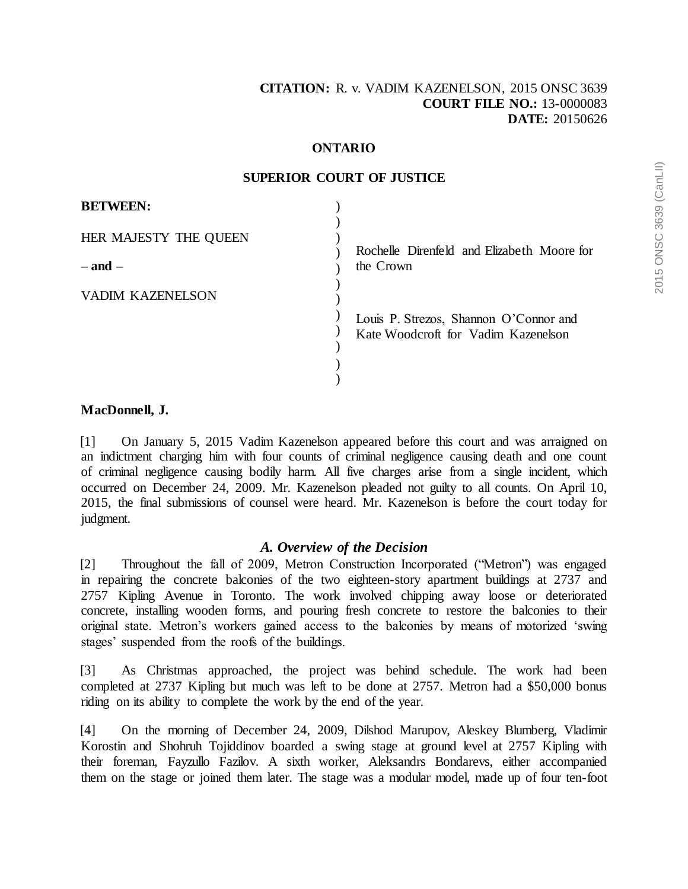### **ONTARIO**

| <b>BETWEEN:</b>       |                                                                               |
|-----------------------|-------------------------------------------------------------------------------|
| HER MAJESTY THE QUEEN | Rochelle Direnfeld and Elizabeth Moore for                                    |
| $-$ and $-$           | the Crown                                                                     |
| VADIM KAZENELSON      |                                                                               |
|                       | Louis P. Strezos, Shannon O'Connor and<br>Kate Woodcroft for Vadim Kazenelson |
|                       |                                                                               |
|                       |                                                                               |

#### **SUPERIOR COURT OF JUSTICE**

#### **MacDonnell, J.**

[1] On January 5, 2015 Vadim Kazenelson appeared before this court and was arraigned on an indictment charging him with four counts of criminal negligence causing death and one count of criminal negligence causing bodily harm. All five charges arise from a single incident, which occurred on December 24, 2009. Mr. Kazenelson pleaded not guilty to all counts. On April 10, 2015, the final submissions of counsel were heard. Mr. Kazenelson is before the court today for judgment.

#### *A. Overview of the Decision*

[2] Throughout the fall of 2009, Metron Construction Incorporated ("Metron") was engaged in repairing the concrete balconies of the two eighteen-story apartment buildings at 2737 and 2757 Kipling Avenue in Toronto. The work involved chipping away loose or deteriorated concrete, installing wooden forms, and pouring fresh concrete to restore the balconies to their original state. Metron's workers gained access to the balconies by means of motorized 'swing stages' suspended from the roofs of the buildings.

[3] As Christmas approached, the project was behind schedule. The work had been completed at 2737 Kipling but much was left to be done at 2757. Metron had a \$50,000 bonus riding on its ability to complete the work by the end of the year.

[4] On the morning of December 24, 2009, Dilshod Marupov, Aleskey Blumberg, Vladimir Korostin and Shohruh Tojiddinov boarded a swing stage at ground level at 2757 Kipling with their foreman, Fayzullo Fazilov. A sixth worker, Aleksandrs Bondarevs, either accompanied them on the stage or joined them later. The stage was a modular model, made up of four ten-foot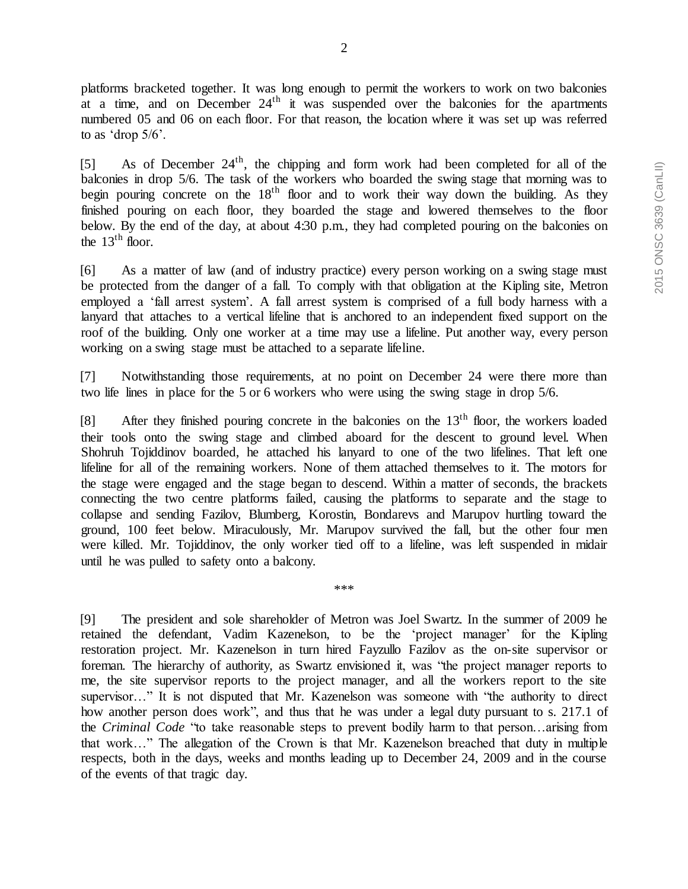platforms bracketed together. It was long enough to permit the workers to work on two balconies at a time, and on December  $24<sup>th</sup>$  it was suspended over the balconies for the apartments numbered 05 and 06 on each floor. For that reason, the location where it was set up was referred to as 'drop 5/6'.

[5] As of December  $24<sup>th</sup>$ , the chipping and form work had been completed for all of the balconies in drop 5/6. The task of the workers who boarded the swing stage that morning was to begin pouring concrete on the  $18<sup>th</sup>$  floor and to work their way down the building. As they finished pouring on each floor, they boarded the stage and lowered themselves to the floor below. By the end of the day, at about 4:30 p.m., they had completed pouring on the balconies on the  $13<sup>th</sup>$  floor.

[6] As a matter of law (and of industry practice) every person working on a swing stage must be protected from the danger of a fall. To comply with that obligation at the Kipling site, Metron employed a 'fall arrest system'. A fall arrest system is comprised of a full body harness with a lanyard that attaches to a vertical lifeline that is anchored to an independent fixed support on the roof of the building. Only one worker at a time may use a lifeline. Put another way, every person working on a swing stage must be attached to a separate lifeline.

[7] Notwithstanding those requirements, at no point on December 24 were there more than two life lines in place for the 5 or 6 workers who were using the swing stage in drop 5/6.

[8] After they finished pouring concrete in the balconies on the 13<sup>th</sup> floor, the workers loaded their tools onto the swing stage and climbed aboard for the descent to ground level. When Shohruh Tojiddinov boarded, he attached his lanyard to one of the two lifelines. That left one lifeline for all of the remaining workers. None of them attached themselves to it. The motors for the stage were engaged and the stage began to descend. Within a matter of seconds, the brackets connecting the two centre platforms failed, causing the platforms to separate and the stage to collapse and sending Fazilov, Blumberg, Korostin, Bondarevs and Marupov hurtling toward the ground, 100 feet below. Miraculously, Mr. Marupov survived the fall, but the other four men were killed. Mr. Tojiddinov, the only worker tied off to a lifeline, was left suspended in midair until he was pulled to safety onto a balcony.

\*\*\*

[9] The president and sole shareholder of Metron was Joel Swartz. In the summer of 2009 he retained the defendant, Vadim Kazenelson, to be the 'project manager' for the Kipling restoration project. Mr. Kazenelson in turn hired Fayzullo Fazilov as the on-site supervisor or foreman. The hierarchy of authority, as Swartz envisioned it, was "the project manager reports to me, the site supervisor reports to the project manager, and all the workers report to the site supervisor…" It is not disputed that Mr. Kazenelson was someone with "the authority to direct how another person does work", and thus that he was under a legal duty pursuant to s. 217.1 of the *Criminal Code* "to take reasonable steps to prevent bodily harm to that person…arising from that work…" The allegation of the Crown is that Mr. Kazenelson breached that duty in multiple respects, both in the days, weeks and months leading up to December 24, 2009 and in the course of the events of that tragic day.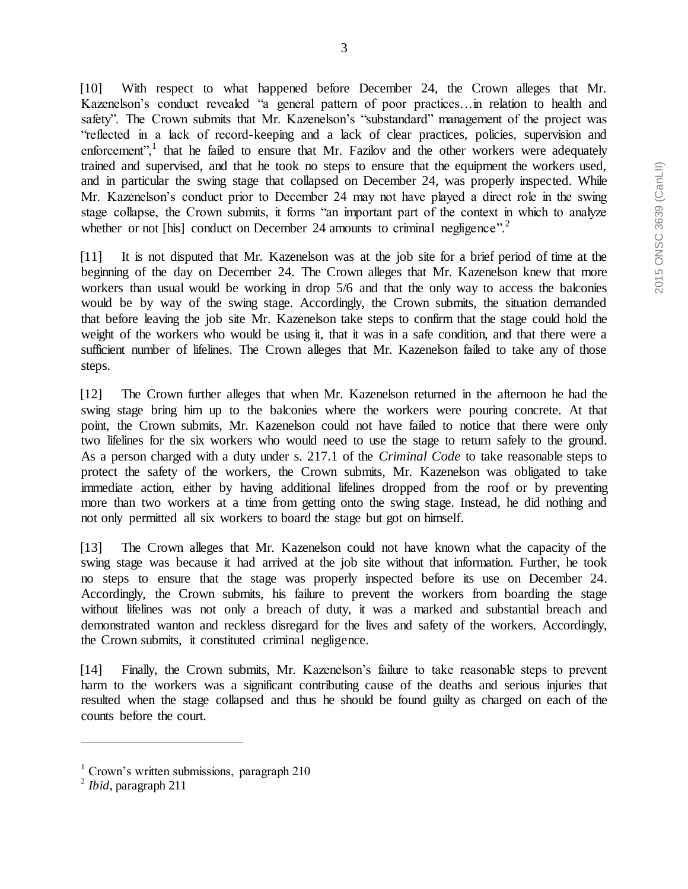[10] With respect to what happened before December 24, the Crown alleges that Mr. Kazenelson's conduct revealed "a general pattern of poor practices…in relation to health and safety". The Crown submits that Mr. Kazenelson's "substandard" management of the project was "reflected in a lack of record-keeping and a lack of clear practices, policies, supervision and enforcement", $1$  that he failed to ensure that Mr. Fazilov and the other workers were adequately trained and supervised, and that he took no steps to ensure that the equipment the workers used, and in particular the swing stage that collapsed on December 24, was properly inspected. While Mr. Kazenelson's conduct prior to December 24 may not have played a direct role in the swing stage collapse, the Crown submits, it forms "an important part of the context in which to analyze whether or not [his] conduct on December 24 amounts to criminal negligence".<sup>2</sup>

[11] It is not disputed that Mr. Kazenelson was at the job site for a brief period of time at the beginning of the day on December 24. The Crown alleges that Mr. Kazenelson knew that more workers than usual would be working in drop 5/6 and that the only way to access the balconies would be by way of the swing stage. Accordingly, the Crown submits, the situation demanded that before leaving the job site Mr. Kazenelson take steps to confirm that the stage could hold the weight of the workers who would be using it, that it was in a safe condition, and that there were a sufficient number of lifelines. The Crown alleges that Mr. Kazenelson failed to take any of those steps.

[12] The Crown further alleges that when Mr. Kazenelson returned in the afternoon he had the swing stage bring him up to the balconies where the workers were pouring concrete. At that point, the Crown submits, Mr. Kazenelson could not have failed to notice that there were only two lifelines for the six workers who would need to use the stage to return safely to the ground. As a person charged with a duty under s. 217.1 of the *Criminal Code* to take reasonable steps to protect the safety of the workers, the Crown submits, Mr. Kazenelson was obligated to take immediate action, either by having additional lifelines dropped from the roof or by preventing more than two workers at a time from getting onto the swing stage. Instead, he did nothing and not only permitted all six workers to board the stage but got on himself.

[13] The Crown alleges that Mr. Kazenelson could not have known what the capacity of the swing stage was because it had arrived at the job site without that information. Further, he took no steps to ensure that the stage was properly inspected before its use on December 24. Accordingly, the Crown submits, his failure to prevent the workers from boarding the stage without lifelines was not only a breach of duty, it was a marked and substantial breach and demonstrated wanton and reckless disregard for the lives and safety of the workers. Accordingly, the Crown submits, it constituted criminal negligence.

[14] Finally, the Crown submits, Mr. Kazenelson's failure to take reasonable steps to prevent harm to the workers was a significant contributing cause of the deaths and serious injuries that resulted when the stage collapsed and thus he should be found guilty as charged on each of the counts before the court.

 $1$  Crown's written submissions, paragraph 210

<sup>2</sup> *Ibid*, paragraph 211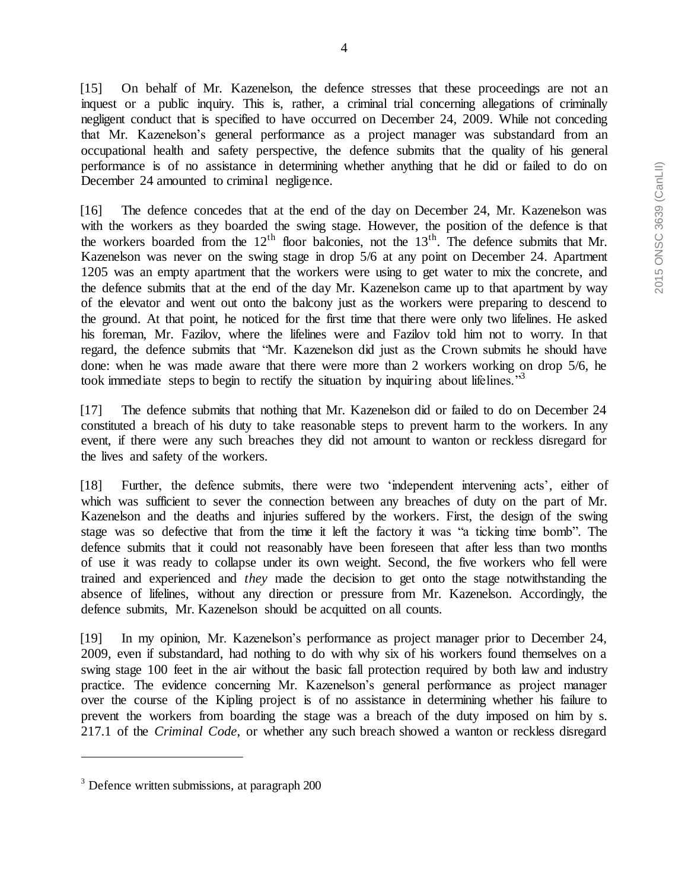[15] On behalf of Mr. Kazenelson, the defence stresses that these proceedings are not an inquest or a public inquiry. This is, rather, a criminal trial concerning allegations of criminally negligent conduct that is specified to have occurred on December 24, 2009. While not conceding that Mr. Kazenelson's general performance as a project manager was substandard from an occupational health and safety perspective, the defence submits that the quality of his general performance is of no assistance in determining whether anything that he did or failed to do on December 24 amounted to criminal negligence.

[16] The defence concedes that at the end of the day on December 24, Mr. Kazenelson was with the workers as they boarded the swing stage. However, the position of the defence is that the workers boarded from the  $12<sup>th</sup>$  floor balconies, not the  $13<sup>th</sup>$ . The defence submits that Mr. Kazenelson was never on the swing stage in drop 5/6 at any point on December 24. Apartment 1205 was an empty apartment that the workers were using to get water to mix the concrete, and the defence submits that at the end of the day Mr. Kazenelson came up to that apartment by way of the elevator and went out onto the balcony just as the workers were preparing to descend to the ground. At that point, he noticed for the first time that there were only two lifelines. He asked his foreman, Mr. Fazilov, where the lifelines were and Fazilov told him not to worry. In that regard, the defence submits that "Mr. Kazenelson did just as the Crown submits he should have done: when he was made aware that there were more than 2 workers working on drop 5/6, he took immediate steps to begin to rectify the situation by inquiring about lifelines.<sup>33</sup>

[17] The defence submits that nothing that Mr. Kazenelson did or failed to do on December 24 constituted a breach of his duty to take reasonable steps to prevent harm to the workers. In any event, if there were any such breaches they did not amount to wanton or reckless disregard for the lives and safety of the workers.

[18] Further, the defence submits, there were two 'independent intervening acts', either of which was sufficient to sever the connection between any breaches of duty on the part of Mr. Kazenelson and the deaths and injuries suffered by the workers. First, the design of the swing stage was so defective that from the time it left the factory it was "a ticking time bomb". The defence submits that it could not reasonably have been foreseen that after less than two months of use it was ready to collapse under its own weight. Second, the five workers who fell were trained and experienced and *they* made the decision to get onto the stage notwithstanding the absence of lifelines, without any direction or pressure from Mr. Kazenelson. Accordingly, the defence submits, Mr. Kazenelson should be acquitted on all counts.

[19] In my opinion, Mr. Kazenelson's performance as project manager prior to December 24, 2009, even if substandard, had nothing to do with why six of his workers found themselves on a swing stage 100 feet in the air without the basic fall protection required by both law and industry practice. The evidence concerning Mr. Kazenelson's general performance as project manager over the course of the Kipling project is of no assistance in determining whether his failure to prevent the workers from boarding the stage was a breach of the duty imposed on him by s. 217.1 of the *Criminal Code*, or whether any such breach showed a wanton or reckless disregard

<sup>&</sup>lt;sup>3</sup> Defence written submissions, at paragraph 200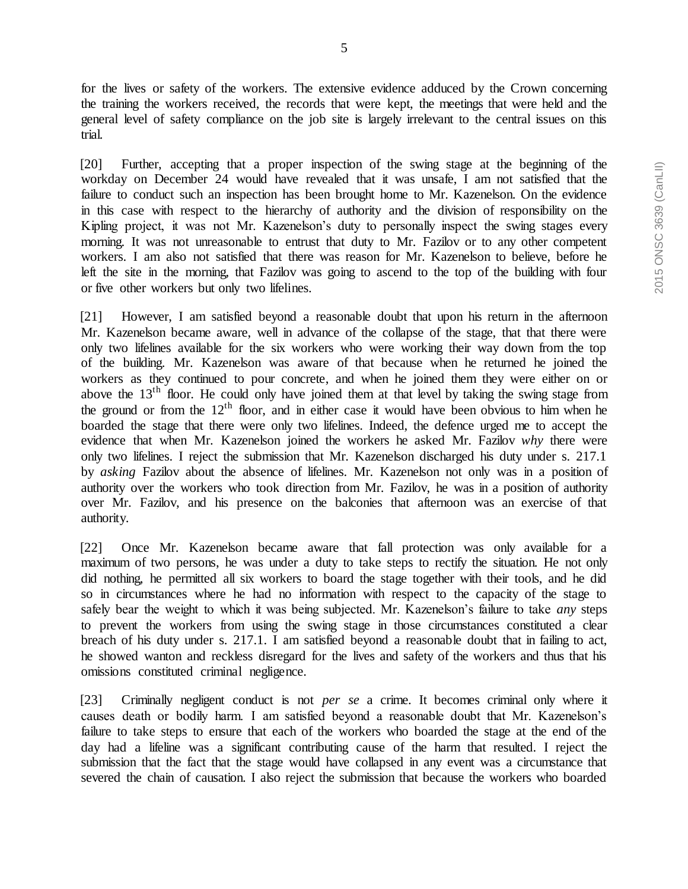for the lives or safety of the workers. The extensive evidence adduced by the Crown concerning the training the workers received, the records that were kept, the meetings that were held and the general level of safety compliance on the job site is largely irrelevant to the central issues on this trial.

[20] Further, accepting that a proper inspection of the swing stage at the beginning of the workday on December 24 would have revealed that it was unsafe, I am not satisfied that the failure to conduct such an inspection has been brought home to Mr. Kazenelson. On the evidence in this case with respect to the hierarchy of authority and the division of responsibility on the Kipling project, it was not Mr. Kazenelson's duty to personally inspect the swing stages every morning. It was not unreasonable to entrust that duty to Mr. Fazilov or to any other competent workers. I am also not satisfied that there was reason for Mr. Kazenelson to believe, before he left the site in the morning, that Fazilov was going to ascend to the top of the building with four or five other workers but only two lifelines.

[21] However, I am satisfied beyond a reasonable doubt that upon his return in the afternoon Mr. Kazenelson became aware, well in advance of the collapse of the stage, that that there were only two lifelines available for the six workers who were working their way down from the top of the building. Mr. Kazenelson was aware of that because when he returned he joined the workers as they continued to pour concrete, and when he joined them they were either on or above the  $13<sup>th</sup>$  floor. He could only have joined them at that level by taking the swing stage from the ground or from the  $12<sup>th</sup>$  floor, and in either case it would have been obvious to him when he boarded the stage that there were only two lifelines. Indeed, the defence urged me to accept the evidence that when Mr. Kazenelson joined the workers he asked Mr. Fazilov *why* there were only two lifelines. I reject the submission that Mr. Kazenelson discharged his duty under s. 217.1 by *asking* Fazilov about the absence of lifelines. Mr. Kazenelson not only was in a position of authority over the workers who took direction from Mr. Fazilov, he was in a position of authority over Mr. Fazilov, and his presence on the balconies that afternoon was an exercise of that authority.

[22] Once Mr. Kazenelson became aware that fall protection was only available for a maximum of two persons, he was under a duty to take steps to rectify the situation. He not only did nothing, he permitted all six workers to board the stage together with their tools, and he did so in circumstances where he had no information with respect to the capacity of the stage to safely bear the weight to which it was being subjected. Mr. Kazenelson's failure to take *any* steps to prevent the workers from using the swing stage in those circumstances constituted a clear breach of his duty under s. 217.1. I am satisfied beyond a reasonable doubt that in failing to act, he showed wanton and reckless disregard for the lives and safety of the workers and thus that his omissions constituted criminal negligence.

[23] Criminally negligent conduct is not *per se* a crime. It becomes criminal only where it causes death or bodily harm. I am satisfied beyond a reasonable doubt that Mr. Kazenelson's failure to take steps to ensure that each of the workers who boarded the stage at the end of the day had a lifeline was a significant contributing cause of the harm that resulted. I reject the submission that the fact that the stage would have collapsed in any event was a circumstance that severed the chain of causation. I also reject the submission that because the workers who boarded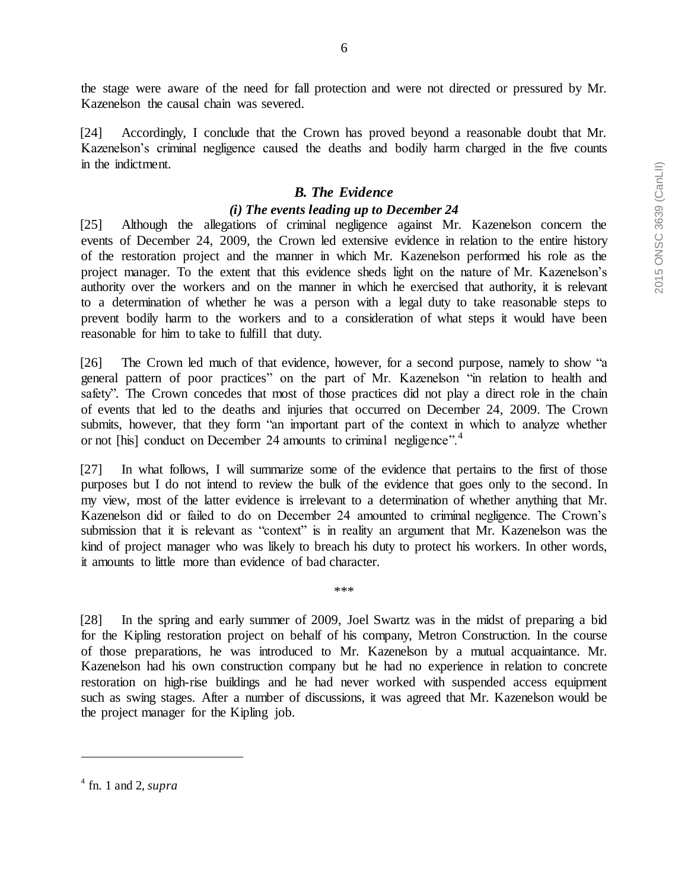the stage were aware of the need for fall protection and were not directed or pressured by Mr. Kazenelson the causal chain was severed.

[24] Accordingly, I conclude that the Crown has proved beyond a reasonable doubt that Mr. Kazenelson's criminal negligence caused the deaths and bodily harm charged in the five counts in the indictment.

# *B. The Evidence*

# *(i) The events leading up to December 24*

[25] Although the allegations of criminal negligence against Mr. Kazenelson concern the events of December 24, 2009, the Crown led extensive evidence in relation to the entire history of the restoration project and the manner in which Mr. Kazenelson performed his role as the project manager. To the extent that this evidence sheds light on the nature of Mr. Kazenelson's authority over the workers and on the manner in which he exercised that authority, it is relevant to a determination of whether he was a person with a legal duty to take reasonable steps to prevent bodily harm to the workers and to a consideration of what steps it would have been reasonable for him to take to fulfill that duty.

[26] The Crown led much of that evidence, however, for a second purpose, namely to show "a general pattern of poor practices" on the part of Mr. Kazenelson "in relation to health and safety". The Crown concedes that most of those practices did not play a direct role in the chain of events that led to the deaths and injuries that occurred on December 24, 2009. The Crown submits, however, that they form "an important part of the context in which to analyze whether or not [his] conduct on December 24 amounts to criminal negligence".<sup>4</sup>

[27] In what follows, I will summarize some of the evidence that pertains to the first of those purposes but I do not intend to review the bulk of the evidence that goes only to the second. In my view, most of the latter evidence is irrelevant to a determination of whether anything that Mr. Kazenelson did or failed to do on December 24 amounted to criminal negligence. The Crown's submission that it is relevant as "context" is in reality an argument that Mr. Kazenelson was the kind of project manager who was likely to breach his duty to protect his workers. In other words, it amounts to little more than evidence of bad character.

\*\*\*

[28] In the spring and early summer of 2009, Joel Swartz was in the midst of preparing a bid for the Kipling restoration project on behalf of his company, Metron Construction. In the course of those preparations, he was introduced to Mr. Kazenelson by a mutual acquaintance. Mr. Kazenelson had his own construction company but he had no experience in relation to concrete restoration on high-rise buildings and he had never worked with suspended access equipment such as swing stages. After a number of discussions, it was agreed that Mr. Kazenelson would be the project manager for the Kipling job.

<sup>4</sup> fn. 1 and 2, *supra*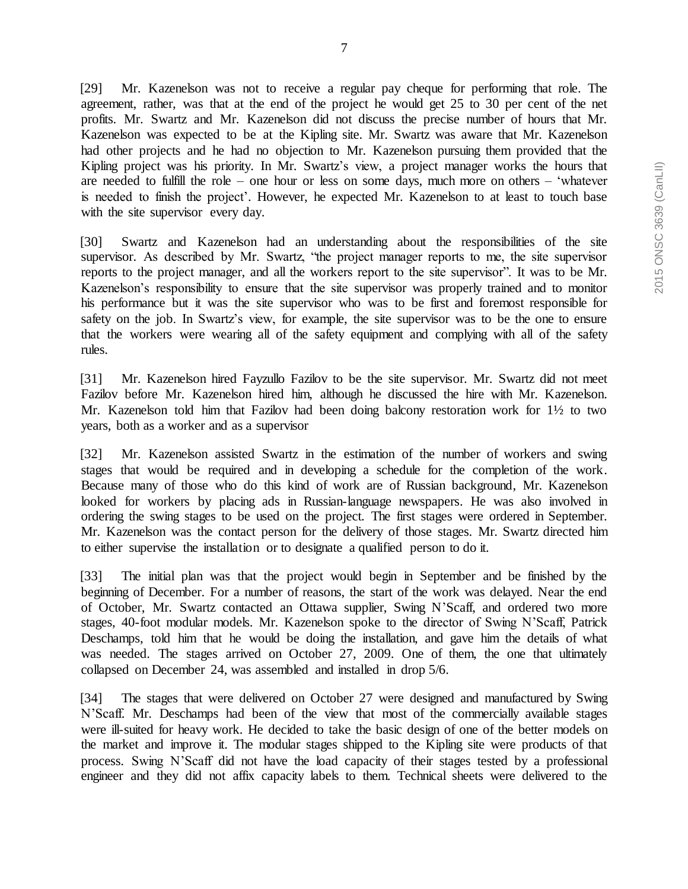7

[29] Mr. Kazenelson was not to receive a regular pay cheque for performing that role. The agreement, rather, was that at the end of the project he would get 25 to 30 per cent of the net profits. Mr. Swartz and Mr. Kazenelson did not discuss the precise number of hours that Mr. Kazenelson was expected to be at the Kipling site. Mr. Swartz was aware that Mr. Kazenelson had other projects and he had no objection to Mr. Kazenelson pursuing them provided that the Kipling project was his priority. In Mr. Swartz's view, a project manager works the hours that are needed to fulfill the role – one hour or less on some days, much more on others – 'whatever is needed to finish the project'. However, he expected Mr. Kazenelson to at least to touch base with the site supervisor every day.

[30] Swartz and Kazenelson had an understanding about the responsibilities of the site supervisor. As described by Mr. Swartz, "the project manager reports to me, the site supervisor reports to the project manager, and all the workers report to the site supervisor". It was to be Mr. Kazenelson's responsibility to ensure that the site supervisor was properly trained and to monitor his performance but it was the site supervisor who was to be first and foremost responsible for safety on the job. In Swartz's view, for example, the site supervisor was to be the one to ensure that the workers were wearing all of the safety equipment and complying with all of the safety rules.

[31] Mr. Kazenelson hired Fayzullo Fazilov to be the site supervisor. Mr. Swartz did not meet Fazilov before Mr. Kazenelson hired him, although he discussed the hire with Mr. Kazenelson. Mr. Kazenelson told him that Fazilov had been doing balcony restoration work for 1½ to two years, both as a worker and as a supervisor

[32] Mr. Kazenelson assisted Swartz in the estimation of the number of workers and swing stages that would be required and in developing a schedule for the completion of the work. Because many of those who do this kind of work are of Russian background, Mr. Kazenelson looked for workers by placing ads in Russian-language newspapers. He was also involved in ordering the swing stages to be used on the project. The first stages were ordered in September. Mr. Kazenelson was the contact person for the delivery of those stages. Mr. Swartz directed him to either supervise the installation or to designate a qualified person to do it.

[33] The initial plan was that the project would begin in September and be finished by the beginning of December. For a number of reasons, the start of the work was delayed. Near the end of October, Mr. Swartz contacted an Ottawa supplier, Swing N'Scaff, and ordered two more stages, 40-foot modular models. Mr. Kazenelson spoke to the director of Swing N'Scaff, Patrick Deschamps, told him that he would be doing the installation, and gave him the details of what was needed. The stages arrived on October 27, 2009. One of them, the one that ultimately collapsed on December 24, was assembled and installed in drop 5/6.

[34] The stages that were delivered on October 27 were designed and manufactured by Swing N'Scaff. Mr. Deschamps had been of the view that most of the commercially available stages were ill-suited for heavy work. He decided to take the basic design of one of the better models on the market and improve it. The modular stages shipped to the Kipling site were products of that process. Swing N'Scaff did not have the load capacity of their stages tested by a professional engineer and they did not affix capacity labels to them. Technical sheets were delivered to the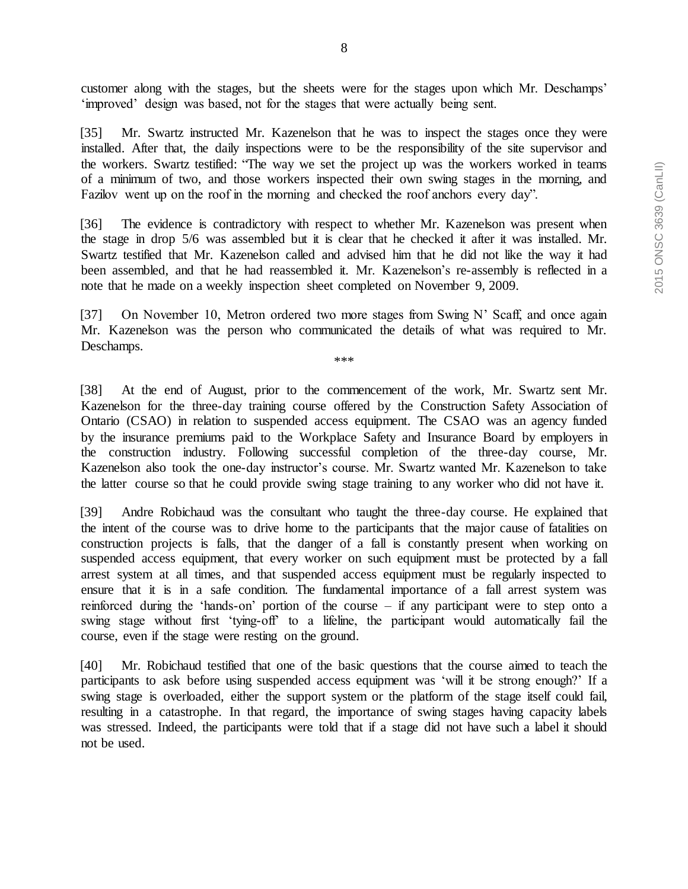customer along with the stages, but the sheets were for the stages upon which Mr. Deschamps' 'improved' design was based, not for the stages that were actually being sent.

[35] Mr. Swartz instructed Mr. Kazenelson that he was to inspect the stages once they were installed. After that, the daily inspections were to be the responsibility of the site supervisor and the workers. Swartz testified: "The way we set the project up was the workers worked in teams of a minimum of two, and those workers inspected their own swing stages in the morning, and Fazilov went up on the roof in the morning and checked the roof anchors every day".

[36] The evidence is contradictory with respect to whether Mr. Kazenelson was present when the stage in drop 5/6 was assembled but it is clear that he checked it after it was installed. Mr. Swartz testified that Mr. Kazenelson called and advised him that he did not like the way it had been assembled, and that he had reassembled it. Mr. Kazenelson's re-assembly is reflected in a note that he made on a weekly inspection sheet completed on November 9, 2009.

[37] On November 10, Metron ordered two more stages from Swing N' Scaff, and once again Mr. Kazenelson was the person who communicated the details of what was required to Mr. Deschamps.

\*\*\*

[38] At the end of August, prior to the commencement of the work, Mr. Swartz sent Mr. Kazenelson for the three-day training course offered by the Construction Safety Association of Ontario (CSAO) in relation to suspended access equipment. The CSAO was an agency funded by the insurance premiums paid to the Workplace Safety and Insurance Board by employers in the construction industry. Following successful completion of the three-day course, Mr. Kazenelson also took the one-day instructor's course. Mr. Swartz wanted Mr. Kazenelson to take the latter course so that he could provide swing stage training to any worker who did not have it.

[39] Andre Robichaud was the consultant who taught the three-day course. He explained that the intent of the course was to drive home to the participants that the major cause of fatalities on construction projects is falls, that the danger of a fall is constantly present when working on suspended access equipment, that every worker on such equipment must be protected by a fall arrest system at all times, and that suspended access equipment must be regularly inspected to ensure that it is in a safe condition. The fundamental importance of a fall arrest system was reinforced during the 'hands-on' portion of the course – if any participant were to step onto a swing stage without first 'tying-off' to a lifeline, the participant would automatically fail the course, even if the stage were resting on the ground.

[40] Mr. Robichaud testified that one of the basic questions that the course aimed to teach the participants to ask before using suspended access equipment was 'will it be strong enough?' If a swing stage is overloaded, either the support system or the platform of the stage itself could fail, resulting in a catastrophe. In that regard, the importance of swing stages having capacity labels was stressed. Indeed, the participants were told that if a stage did not have such a label it should not be used.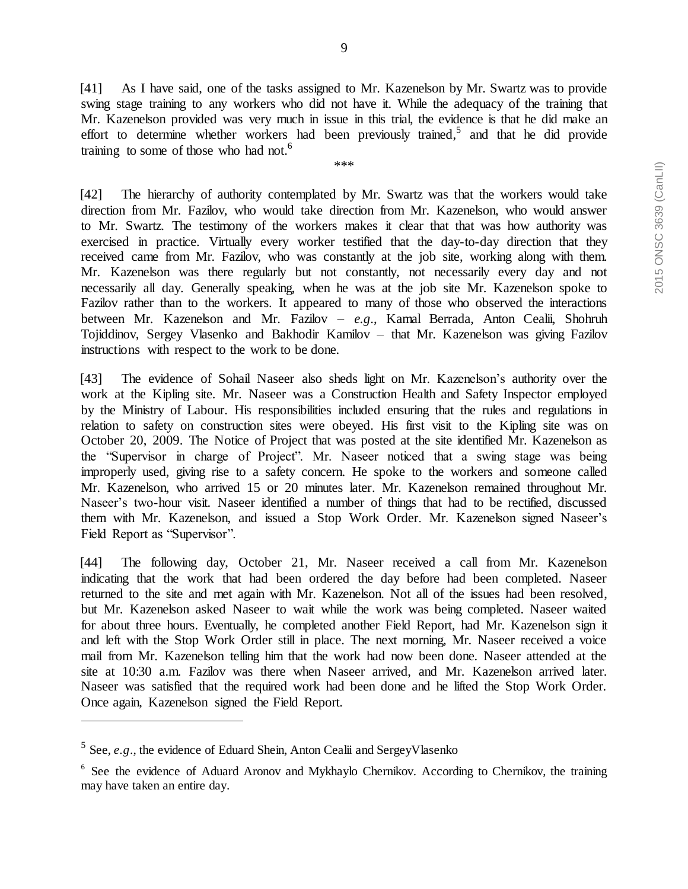[41] As I have said, one of the tasks assigned to Mr. Kazenelson by Mr. Swartz was to provide swing stage training to any workers who did not have it. While the adequacy of the training that Mr. Kazenelson provided was very much in issue in this trial, the evidence is that he did make an effort to determine whether workers had been previously trained,<sup>5</sup> and that he did provide training to some of those who had not.<sup>6</sup>

\*\*\*

[42] The hierarchy of authority contemplated by Mr. Swartz was that the workers would take direction from Mr. Fazilov, who would take direction from Mr. Kazenelson, who would answer to Mr. Swartz. The testimony of the workers makes it clear that that was how authority was exercised in practice. Virtually every worker testified that the day-to-day direction that they received came from Mr. Fazilov, who was constantly at the job site, working along with them. Mr. Kazenelson was there regularly but not constantly, not necessarily every day and not necessarily all day. Generally speaking, when he was at the job site Mr. Kazenelson spoke to Fazilov rather than to the workers. It appeared to many of those who observed the interactions between Mr. Kazenelson and Mr. Fazilov – *e.g*., Kamal Berrada, Anton Cealii, Shohruh Tojiddinov, Sergey Vlasenko and Bakhodir Kamilov – that Mr. Kazenelson was giving Fazilov instructions with respect to the work to be done.

[43] The evidence of Sohail Naseer also sheds light on Mr. Kazenelson's authority over the work at the Kipling site. Mr. Naseer was a Construction Health and Safety Inspector employed by the Ministry of Labour. His responsibilities included ensuring that the rules and regulations in relation to safety on construction sites were obeyed. His first visit to the Kipling site was on October 20, 2009. The Notice of Project that was posted at the site identified Mr. Kazenelson as the "Supervisor in charge of Project". Mr. Naseer noticed that a swing stage was being improperly used, giving rise to a safety concern. He spoke to the workers and someone called Mr. Kazenelson, who arrived 15 or 20 minutes later. Mr. Kazenelson remained throughout Mr. Naseer's two-hour visit. Naseer identified a number of things that had to be rectified, discussed them with Mr. Kazenelson, and issued a Stop Work Order. Mr. Kazenelson signed Naseer's Field Report as "Supervisor".

[44] The following day, October 21, Mr. Naseer received a call from Mr. Kazenelson indicating that the work that had been ordered the day before had been completed. Naseer returned to the site and met again with Mr. Kazenelson. Not all of the issues had been resolved, but Mr. Kazenelson asked Naseer to wait while the work was being completed. Naseer waited for about three hours. Eventually, he completed another Field Report, had Mr. Kazenelson sign it and left with the Stop Work Order still in place. The next morning, Mr. Naseer received a voice mail from Mr. Kazenelson telling him that the work had now been done. Naseer attended at the site at 10:30 a.m. Fazilov was there when Naseer arrived, and Mr. Kazenelson arrived later. Naseer was satisfied that the required work had been done and he lifted the Stop Work Order. Once again, Kazenelson signed the Field Report.

<sup>&</sup>lt;sup>5</sup> See, *e.g.*, the evidence of Eduard Shein, Anton Cealii and SergeyVlasenko

<sup>&</sup>lt;sup>6</sup> See the evidence of Aduard Aronov and Mykhaylo Chernikov. According to Chernikov, the training may have taken an entire day.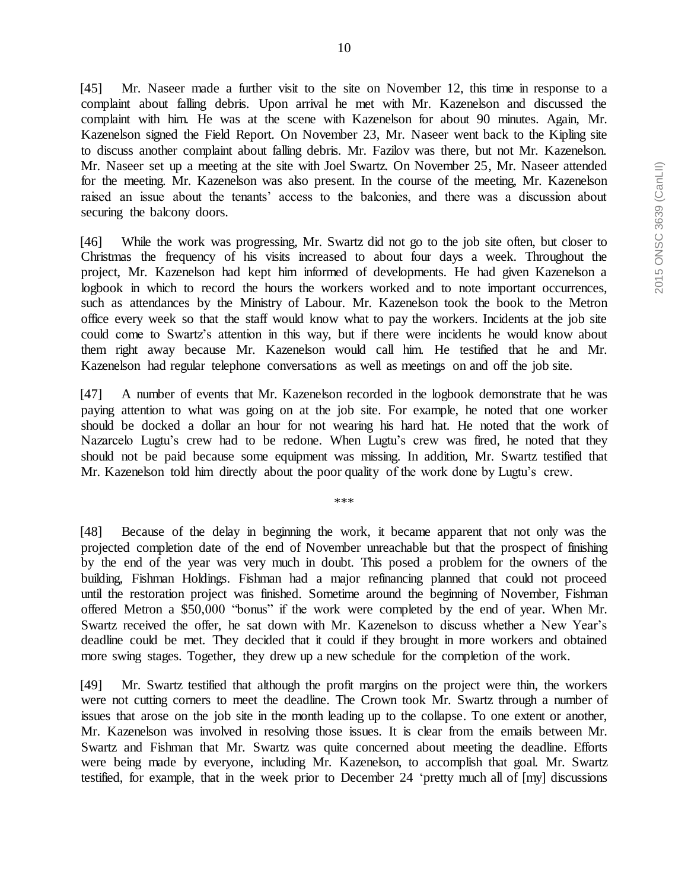[45] Mr. Naseer made a further visit to the site on November 12, this time in response to a complaint about falling debris. Upon arrival he met with Mr. Kazenelson and discussed the complaint with him. He was at the scene with Kazenelson for about 90 minutes. Again, Mr. Kazenelson signed the Field Report. On November 23, Mr. Naseer went back to the Kipling site to discuss another complaint about falling debris. Mr. Fazilov was there, but not Mr. Kazenelson. Mr. Naseer set up a meeting at the site with Joel Swartz. On November 25, Mr. Naseer attended for the meeting. Mr. Kazenelson was also present. In the course of the meeting, Mr. Kazenelson raised an issue about the tenants' access to the balconies, and there was a discussion about securing the balcony doors.

[46] While the work was progressing, Mr. Swartz did not go to the job site often, but closer to Christmas the frequency of his visits increased to about four days a week. Throughout the project, Mr. Kazenelson had kept him informed of developments. He had given Kazenelson a logbook in which to record the hours the workers worked and to note important occurrences, such as attendances by the Ministry of Labour. Mr. Kazenelson took the book to the Metron office every week so that the staff would know what to pay the workers. Incidents at the job site could come to Swartz's attention in this way, but if there were incidents he would know about them right away because Mr. Kazenelson would call him. He testified that he and Mr. Kazenelson had regular telephone conversations as well as meetings on and off the job site.

[47] A number of events that Mr. Kazenelson recorded in the logbook demonstrate that he was paying attention to what was going on at the job site. For example, he noted that one worker should be docked a dollar an hour for not wearing his hard hat. He noted that the work of Nazarcelo Lugtu's crew had to be redone. When Lugtu's crew was fired, he noted that they should not be paid because some equipment was missing. In addition, Mr. Swartz testified that Mr. Kazenelson told him directly about the poor quality of the work done by Lugtu's crew.

\*\*\*

[48] Because of the delay in beginning the work, it became apparent that not only was the projected completion date of the end of November unreachable but that the prospect of finishing by the end of the year was very much in doubt. This posed a problem for the owners of the building, Fishman Holdings. Fishman had a major refinancing planned that could not proceed until the restoration project was finished. Sometime around the beginning of November, Fishman offered Metron a \$50,000 "bonus" if the work were completed by the end of year. When Mr. Swartz received the offer, he sat down with Mr. Kazenelson to discuss whether a New Year's deadline could be met. They decided that it could if they brought in more workers and obtained more swing stages. Together, they drew up a new schedule for the completion of the work.

[49] Mr. Swartz testified that although the profit margins on the project were thin, the workers were not cutting corners to meet the deadline. The Crown took Mr. Swartz through a number of issues that arose on the job site in the month leading up to the collapse. To one extent or another, Mr. Kazenelson was involved in resolving those issues. It is clear from the emails between Mr. Swartz and Fishman that Mr. Swartz was quite concerned about meeting the deadline. Efforts were being made by everyone, including Mr. Kazenelson, to accomplish that goal. Mr. Swartz testified, for example, that in the week prior to December 24 'pretty much all of [my] discussions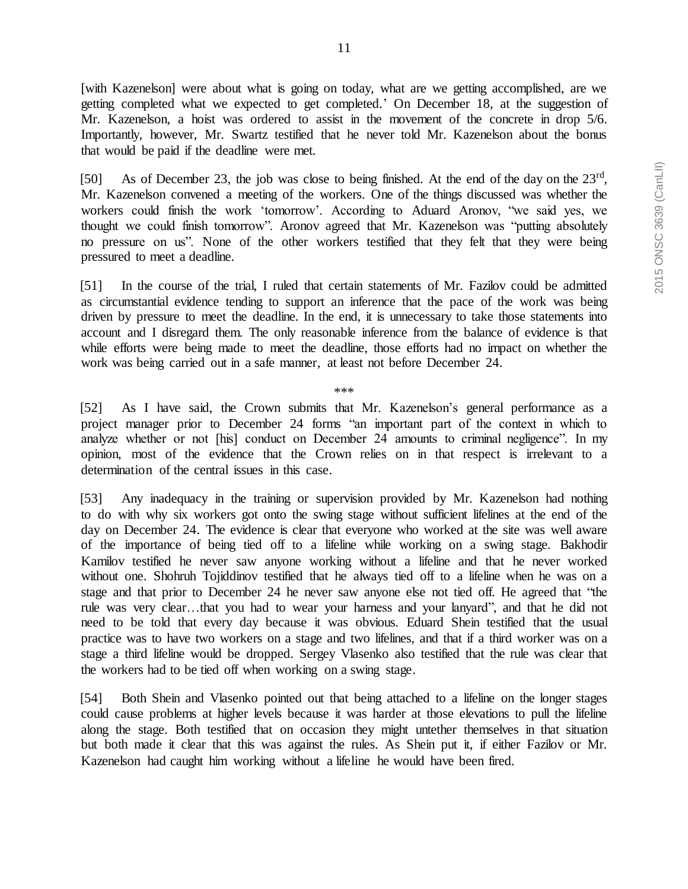[with Kazenelson] were about what is going on today, what are we getting accomplished, are we getting completed what we expected to get completed.' On December 18, at the suggestion of Mr. Kazenelson, a hoist was ordered to assist in the movement of the concrete in drop 5/6. Importantly, however, Mr. Swartz testified that he never told Mr. Kazenelson about the bonus that would be paid if the deadline were met.

[50] As of December 23, the job was close to being finished. At the end of the day on the  $23<sup>rd</sup>$ , Mr. Kazenelson convened a meeting of the workers. One of the things discussed was whether the workers could finish the work 'tomorrow'. According to Aduard Aronov, "we said yes, we thought we could finish tomorrow". Aronov agreed that Mr. Kazenelson was "putting absolutely no pressure on us". None of the other workers testified that they felt that they were being pressured to meet a deadline.

[51] In the course of the trial, I ruled that certain statements of Mr. Fazilov could be admitted as circumstantial evidence tending to support an inference that the pace of the work was being driven by pressure to meet the deadline. In the end, it is unnecessary to take those statements into account and I disregard them. The only reasonable inference from the balance of evidence is that while efforts were being made to meet the deadline, those efforts had no impact on whether the work was being carried out in a safe manner, at least not before December 24.

\*\*\*

[52] As I have said, the Crown submits that Mr. Kazenelson's general performance as a project manager prior to December 24 forms "an important part of the context in which to analyze whether or not [his] conduct on December 24 amounts to criminal negligence". In my opinion, most of the evidence that the Crown relies on in that respect is irrelevant to a determination of the central issues in this case.

[53] Any inadequacy in the training or supervision provided by Mr. Kazenelson had nothing to do with why six workers got onto the swing stage without sufficient lifelines at the end of the day on December 24. The evidence is clear that everyone who worked at the site was well aware of the importance of being tied off to a lifeline while working on a swing stage. Bakhodir Kamilov testified he never saw anyone working without a lifeline and that he never worked without one. Shohruh Tojiddinov testified that he always tied off to a lifeline when he was on a stage and that prior to December 24 he never saw anyone else not tied off. He agreed that "the rule was very clear…that you had to wear your harness and your lanyard", and that he did not need to be told that every day because it was obvious. Eduard Shein testified that the usual practice was to have two workers on a stage and two lifelines, and that if a third worker was on a stage a third lifeline would be dropped. Sergey Vlasenko also testified that the rule was clear that the workers had to be tied off when working on a swing stage.

[54] Both Shein and Vlasenko pointed out that being attached to a lifeline on the longer stages could cause problems at higher levels because it was harder at those elevations to pull the lifeline along the stage. Both testified that on occasion they might untether themselves in that situation but both made it clear that this was against the rules. As Shein put it, if either Fazilov or Mr. Kazenelson had caught him working without a lifeline he would have been fired.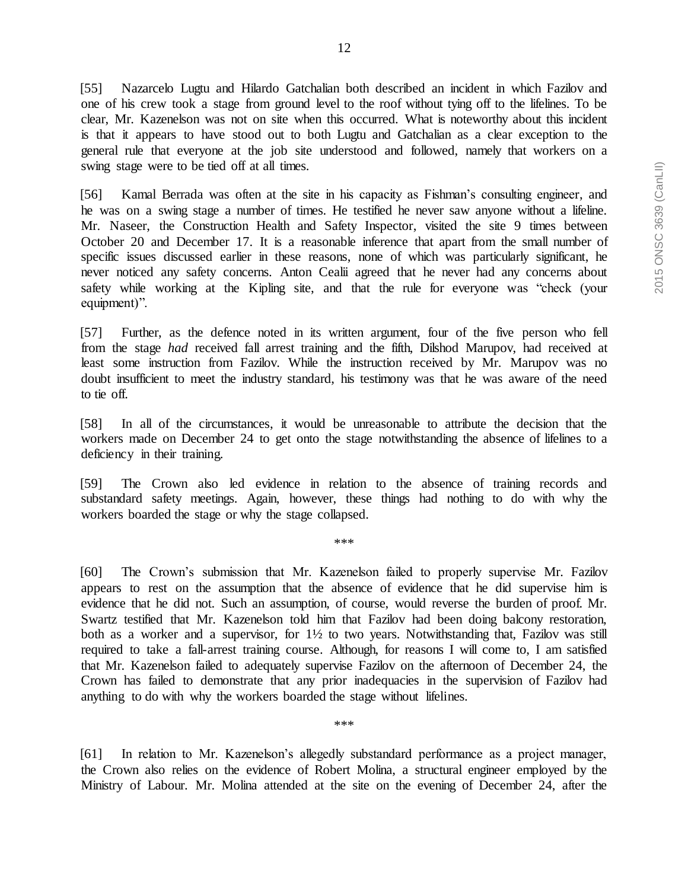[55] Nazarcelo Lugtu and Hilardo Gatchalian both described an incident in which Fazilov and one of his crew took a stage from ground level to the roof without tying off to the lifelines. To be clear, Mr. Kazenelson was not on site when this occurred. What is noteworthy about this incident is that it appears to have stood out to both Lugtu and Gatchalian as a clear exception to the general rule that everyone at the job site understood and followed, namely that workers on a swing stage were to be tied off at all times.

[56] Kamal Berrada was often at the site in his capacity as Fishman's consulting engineer, and he was on a swing stage a number of times. He testified he never saw anyone without a lifeline. Mr. Naseer, the Construction Health and Safety Inspector, visited the site 9 times between October 20 and December 17. It is a reasonable inference that apart from the small number of specific issues discussed earlier in these reasons, none of which was particularly significant, he never noticed any safety concerns. Anton Cealii agreed that he never had any concerns about safety while working at the Kipling site, and that the rule for everyone was "check (your equipment)".

[57] Further, as the defence noted in its written argument, four of the five person who fell from the stage *had* received fall arrest training and the fifth, Dilshod Marupov, had received at least some instruction from Fazilov. While the instruction received by Mr. Marupov was no doubt insufficient to meet the industry standard, his testimony was that he was aware of the need to tie off.

[58] In all of the circumstances, it would be unreasonable to attribute the decision that the workers made on December 24 to get onto the stage notwithstanding the absence of lifelines to a deficiency in their training.

[59] The Crown also led evidence in relation to the absence of training records and substandard safety meetings. Again, however, these things had nothing to do with why the workers boarded the stage or why the stage collapsed.

\*\*\*

[60] The Crown's submission that Mr. Kazenelson failed to properly supervise Mr. Fazilov appears to rest on the assumption that the absence of evidence that he did supervise him is evidence that he did not. Such an assumption, of course, would reverse the burden of proof. Mr. Swartz testified that Mr. Kazenelson told him that Fazilov had been doing balcony restoration, both as a worker and a supervisor, for  $1\frac{1}{2}$  to two years. Notwithstanding that, Fazilov was still required to take a fall-arrest training course. Although, for reasons I will come to, I am satisfied that Mr. Kazenelson failed to adequately supervise Fazilov on the afternoon of December 24, the Crown has failed to demonstrate that any prior inadequacies in the supervision of Fazilov had anything to do with why the workers boarded the stage without lifelines.

\*\*\*

[61] In relation to Mr. Kazenelson's allegedly substandard performance as a project manager, the Crown also relies on the evidence of Robert Molina, a structural engineer employed by the Ministry of Labour. Mr. Molina attended at the site on the evening of December 24, after the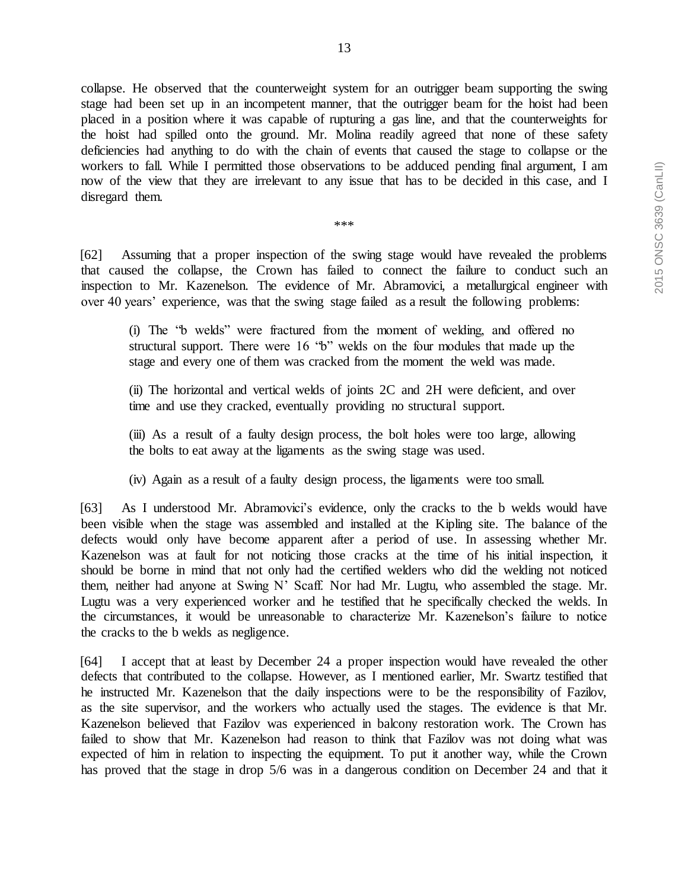collapse. He observed that the counterweight system for an outrigger beam supporting the swing stage had been set up in an incompetent manner, that the outrigger beam for the hoist had been placed in a position where it was capable of rupturing a gas line, and that the counterweights for the hoist had spilled onto the ground. Mr. Molina readily agreed that none of these safety deficiencies had anything to do with the chain of events that caused the stage to collapse or the workers to fall. While I permitted those observations to be adduced pending final argument, I am now of the view that they are irrelevant to any issue that has to be decided in this case, and I disregard them.

\*\*\*

[62] Assuming that a proper inspection of the swing stage would have revealed the problems that caused the collapse, the Crown has failed to connect the failure to conduct such an inspection to Mr. Kazenelson. The evidence of Mr. Abramovici, a metallurgical engineer with over 40 years' experience, was that the swing stage failed as a result the following problems:

(i) The "b welds" were fractured from the moment of welding, and offered no structural support. There were 16 "b" welds on the four modules that made up the stage and every one of them was cracked from the moment the weld was made.

(ii) The horizontal and vertical welds of joints 2C and 2H were deficient, and over time and use they cracked, eventually providing no structural support.

(iii) As a result of a faulty design process, the bolt holes were too large, allowing the bolts to eat away at the ligaments as the swing stage was used.

(iv) Again as a result of a faulty design process, the ligaments were too small.

[63] As I understood Mr. Abramovici's evidence, only the cracks to the b welds would have been visible when the stage was assembled and installed at the Kipling site. The balance of the defects would only have become apparent after a period of use. In assessing whether Mr. Kazenelson was at fault for not noticing those cracks at the time of his initial inspection, it should be borne in mind that not only had the certified welders who did the welding not noticed them, neither had anyone at Swing N' Scaff. Nor had Mr. Lugtu, who assembled the stage. Mr. Lugtu was a very experienced worker and he testified that he specifically checked the welds. In the circumstances, it would be unreasonable to characterize Mr. Kazenelson's failure to notice the cracks to the b welds as negligence.

[64] I accept that at least by December 24 a proper inspection would have revealed the other defects that contributed to the collapse. However, as I mentioned earlier, Mr. Swartz testified that he instructed Mr. Kazenelson that the daily inspections were to be the responsibility of Fazilov, as the site supervisor, and the workers who actually used the stages. The evidence is that Mr. Kazenelson believed that Fazilov was experienced in balcony restoration work. The Crown has failed to show that Mr. Kazenelson had reason to think that Fazilov was not doing what was expected of him in relation to inspecting the equipment. To put it another way, while the Crown has proved that the stage in drop 5/6 was in a dangerous condition on December 24 and that it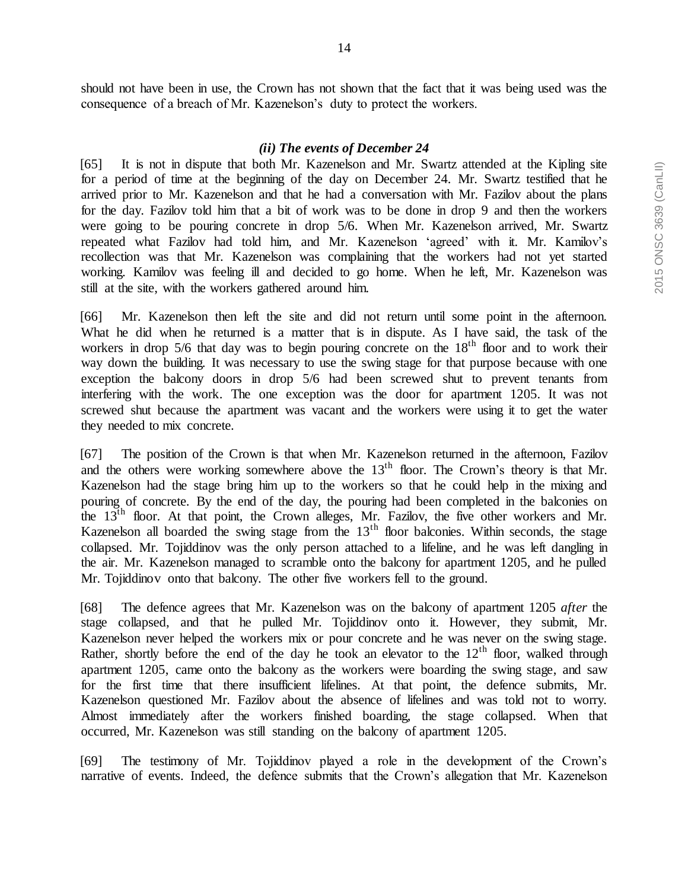should not have been in use, the Crown has not shown that the fact that it was being used was the consequence of a breach of Mr. Kazenelson's duty to protect the workers.

#### *(ii) The events of December 24*

[65] It is not in dispute that both Mr. Kazenelson and Mr. Swartz attended at the Kipling site for a period of time at the beginning of the day on December 24. Mr. Swartz testified that he arrived prior to Mr. Kazenelson and that he had a conversation with Mr. Fazilov about the plans for the day. Fazilov told him that a bit of work was to be done in drop 9 and then the workers were going to be pouring concrete in drop 5/6. When Mr. Kazenelson arrived, Mr. Swartz repeated what Fazilov had told him, and Mr. Kazenelson 'agreed' with it. Mr. Kamilov's recollection was that Mr. Kazenelson was complaining that the workers had not yet started working. Kamilov was feeling ill and decided to go home. When he left, Mr. Kazenelson was still at the site, with the workers gathered around him.

[66] Mr. Kazenelson then left the site and did not return until some point in the afternoon. What he did when he returned is a matter that is in dispute. As I have said, the task of the workers in drop 5/6 that day was to begin pouring concrete on the  $18<sup>th</sup>$  floor and to work their way down the building. It was necessary to use the swing stage for that purpose because with one exception the balcony doors in drop 5/6 had been screwed shut to prevent tenants from interfering with the work. The one exception was the door for apartment 1205. It was not screwed shut because the apartment was vacant and the workers were using it to get the water they needed to mix concrete.

[67] The position of the Crown is that when Mr. Kazenelson returned in the afternoon, Fazilov and the others were working somewhere above the  $13<sup>th</sup>$  floor. The Crown's theory is that Mr. Kazenelson had the stage bring him up to the workers so that he could help in the mixing and pouring of concrete. By the end of the day, the pouring had been completed in the balconies on the 13th floor. At that point, the Crown alleges, Mr. Fazilov, the five other workers and Mr. Kazenelson all boarded the swing stage from the  $13<sup>th</sup>$  floor balconies. Within seconds, the stage collapsed. Mr. Tojiddinov was the only person attached to a lifeline, and he was left dangling in the air. Mr. Kazenelson managed to scramble onto the balcony for apartment 1205, and he pulled Mr. Tojiddinov onto that balcony. The other five workers fell to the ground.

[68] The defence agrees that Mr. Kazenelson was on the balcony of apartment 1205 *after* the stage collapsed, and that he pulled Mr. Tojiddinov onto it. However, they submit, Mr. Kazenelson never helped the workers mix or pour concrete and he was never on the swing stage. Rather, shortly before the end of the day he took an elevator to the  $12<sup>th</sup>$  floor, walked through apartment 1205, came onto the balcony as the workers were boarding the swing stage, and saw for the first time that there insufficient lifelines. At that point, the defence submits, Mr. Kazenelson questioned Mr. Fazilov about the absence of lifelines and was told not to worry. Almost immediately after the workers finished boarding, the stage collapsed. When that occurred, Mr. Kazenelson was still standing on the balcony of apartment 1205.

[69] The testimony of Mr. Tojiddinov played a role in the development of the Crown's narrative of events. Indeed, the defence submits that the Crown's allegation that Mr. Kazenelson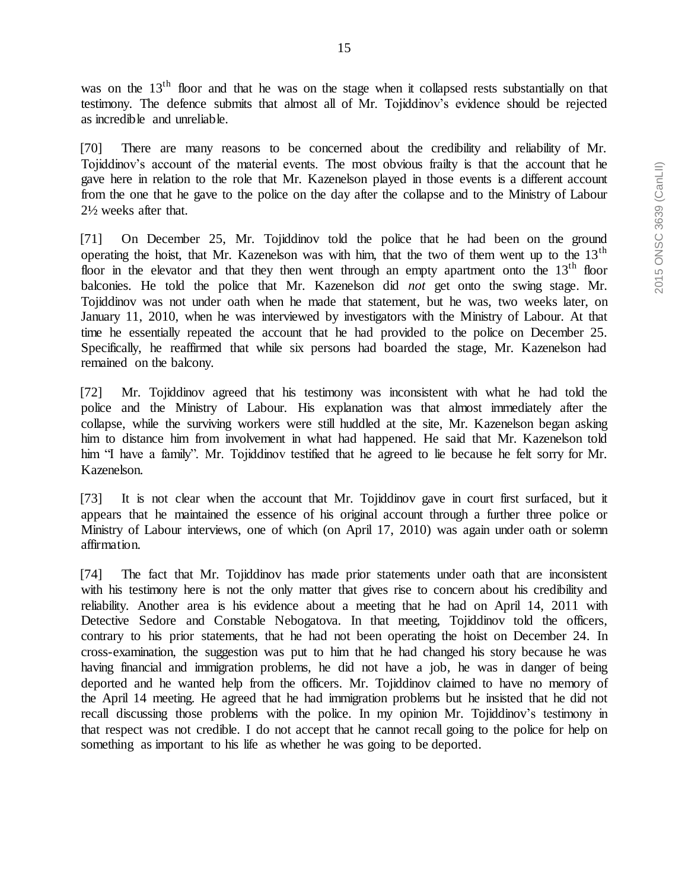was on the 13<sup>th</sup> floor and that he was on the stage when it collapsed rests substantially on that testimony. The defence submits that almost all of Mr. Tojiddinov's evidence should be rejected as incredible and unreliable.

[70] There are many reasons to be concerned about the credibility and reliability of Mr. Tojiddinov's account of the material events. The most obvious frailty is that the account that he gave here in relation to the role that Mr. Kazenelson played in those events is a different account from the one that he gave to the police on the day after the collapse and to the Ministry of Labour 2½ weeks after that.

[71] On December 25, Mr. Tojiddinov told the police that he had been on the ground operating the hoist, that Mr. Kazenelson was with him, that the two of them went up to the  $13<sup>th</sup>$ floor in the elevator and that they then went through an empty apartment onto the 13<sup>th</sup> floor balconies. He told the police that Mr. Kazenelson did *not* get onto the swing stage. Mr. Tojiddinov was not under oath when he made that statement, but he was, two weeks later, on January 11, 2010, when he was interviewed by investigators with the Ministry of Labour. At that time he essentially repeated the account that he had provided to the police on December 25. Specifically, he reaffirmed that while six persons had boarded the stage, Mr. Kazenelson had remained on the balcony.

[72] Mr. Tojiddinov agreed that his testimony was inconsistent with what he had told the police and the Ministry of Labour. His explanation was that almost immediately after the collapse, while the surviving workers were still huddled at the site, Mr. Kazenelson began asking him to distance him from involvement in what had happened. He said that Mr. Kazenelson told him "I have a family". Mr. Tojiddinov testified that he agreed to lie because he felt sorry for Mr. Kazenelson.

[73] It is not clear when the account that Mr. Tojiddinov gave in court first surfaced, but it appears that he maintained the essence of his original account through a further three police or Ministry of Labour interviews, one of which (on April 17, 2010) was again under oath or solemn affirmation.

[74] The fact that Mr. Tojiddinov has made prior statements under oath that are inconsistent with his testimony here is not the only matter that gives rise to concern about his credibility and reliability. Another area is his evidence about a meeting that he had on April 14, 2011 with Detective Sedore and Constable Nebogatova. In that meeting, Tojiddinov told the officers, contrary to his prior statements, that he had not been operating the hoist on December 24. In cross-examination, the suggestion was put to him that he had changed his story because he was having financial and immigration problems, he did not have a job, he was in danger of being deported and he wanted help from the officers. Mr. Tojiddinov claimed to have no memory of the April 14 meeting. He agreed that he had immigration problems but he insisted that he did not recall discussing those problems with the police. In my opinion Mr. Tojiddinov's testimony in that respect was not credible. I do not accept that he cannot recall going to the police for help on something as important to his life as whether he was going to be deported.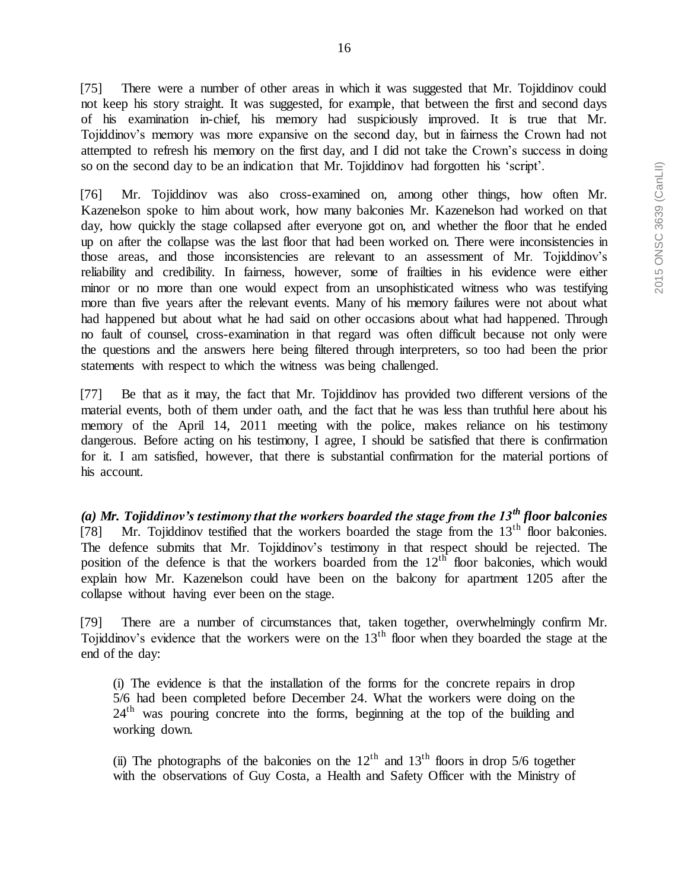[75] There were a number of other areas in which it was suggested that Mr. Tojiddinov could not keep his story straight. It was suggested, for example, that between the first and second days of his examination in-chief, his memory had suspiciously improved. It is true that Mr. Tojiddinov's memory was more expansive on the second day, but in fairness the Crown had not attempted to refresh his memory on the first day, and I did not take the Crown's success in doing so on the second day to be an indication that Mr. Tojiddinov had forgotten his 'script'.

[76] Mr. Tojiddinov was also cross-examined on, among other things, how often Mr. Kazenelson spoke to him about work, how many balconies Mr. Kazenelson had worked on that day, how quickly the stage collapsed after everyone got on, and whether the floor that he ended up on after the collapse was the last floor that had been worked on. There were inconsistencies in those areas, and those inconsistencies are relevant to an assessment of Mr. Tojiddinov's reliability and credibility. In fairness, however, some of frailties in his evidence were either minor or no more than one would expect from an unsophisticated witness who was testifying more than five years after the relevant events. Many of his memory failures were not about what had happened but about what he had said on other occasions about what had happened. Through no fault of counsel, cross-examination in that regard was often difficult because not only were the questions and the answers here being filtered through interpreters, so too had been the prior statements with respect to which the witness was being challenged.

[77] Be that as it may, the fact that Mr. Tojiddinov has provided two different versions of the material events, both of them under oath, and the fact that he was less than truthful here about his memory of the April 14, 2011 meeting with the police, makes reliance on his testimony dangerous. Before acting on his testimony, I agree, I should be satisfied that there is confirmation for it. I am satisfied, however, that there is substantial confirmation for the material portions of his account.

*(a) Mr. Tojiddinov's testimony that the workers boarded the stage from the 13th floor balconies* [78] Mr. Tojiddinov testified that the workers boarded the stage from the  $13<sup>th</sup>$  floor balconies. The defence submits that Mr. Tojiddinov's testimony in that respect should be rejected. The position of the defence is that the workers boarded from the  $12<sup>th</sup>$  floor balconies, which would explain how Mr. Kazenelson could have been on the balcony for apartment 1205 after the collapse without having ever been on the stage.

[79] There are a number of circumstances that, taken together, overwhelmingly confirm Mr. Tojiddinov's evidence that the workers were on the 13<sup>th</sup> floor when they boarded the stage at the end of the day:

(i) The evidence is that the installation of the forms for the concrete repairs in drop 5/6 had been completed before December 24. What the workers were doing on the  $24<sup>th</sup>$  was pouring concrete into the forms, beginning at the top of the building and working down.

(ii) The photographs of the balconies on the  $12<sup>th</sup>$  and  $13<sup>th</sup>$  floors in drop 5/6 together with the observations of Guy Costa, a Health and Safety Officer with the Ministry of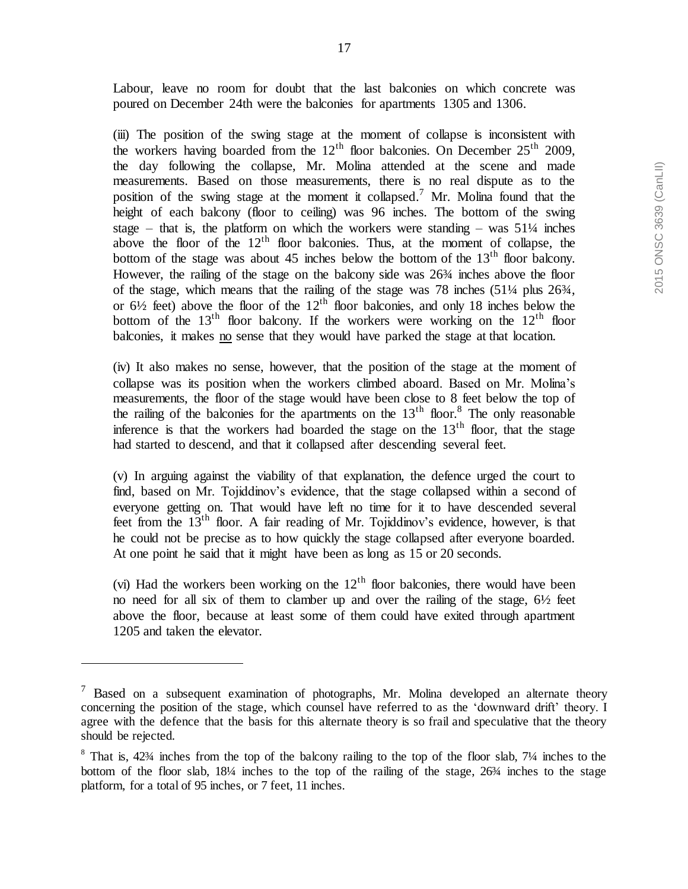(iii) The position of the swing stage at the moment of collapse is inconsistent with the workers having boarded from the  $12<sup>th</sup>$  floor balconies. On December  $25<sup>th</sup>$  2009, the day following the collapse, Mr. Molina attended at the scene and made measurements. Based on those measurements, there is no real dispute as to the position of the swing stage at the moment it collapsed.<sup>7</sup> Mr. Molina found that the height of each balcony (floor to ceiling) was 96 inches. The bottom of the swing stage – that is, the platform on which the workers were standing – was  $51\frac{1}{4}$  inches above the floor of the  $12<sup>th</sup>$  floor balconies. Thus, at the moment of collapse, the bottom of the stage was about 45 inches below the bottom of the 13<sup>th</sup> floor balcony. However, the railing of the stage on the balcony side was 26¾ inches above the floor of the stage, which means that the railing of the stage was 78 inches (51¼ plus 26¾, or  $6\frac{1}{2}$  feet) above the floor of the  $12<sup>th</sup>$  floor balconies, and only 18 inches below the bottom of the  $13<sup>th</sup>$  floor balcony. If the workers were working on the  $12<sup>th</sup>$  floor balconies, it makes no sense that they would have parked the stage at that location.

(iv) It also makes no sense, however, that the position of the stage at the moment of collapse was its position when the workers climbed aboard. Based on Mr. Molina's measurements, the floor of the stage would have been close to 8 feet below the top of the railing of the balconies for the apartments on the  $13<sup>th</sup>$  floor.<sup>8</sup> The only reasonable inference is that the workers had boarded the stage on the  $13<sup>th</sup>$  floor, that the stage had started to descend, and that it collapsed after descending several feet.

(v) In arguing against the viability of that explanation, the defence urged the court to find, based on Mr. Tojiddinov's evidence, that the stage collapsed within a second of everyone getting on. That would have left no time for it to have descended several feet from the  $13<sup>th</sup>$  floor. A fair reading of Mr. Tojiddinov's evidence, however, is that he could not be precise as to how quickly the stage collapsed after everyone boarded. At one point he said that it might have been as long as 15 or 20 seconds.

(vi) Had the workers been working on the  $12<sup>th</sup>$  floor balconies, there would have been no need for all six of them to clamber up and over the railing of the stage,  $6\frac{1}{2}$  feet above the floor, because at least some of them could have exited through apartment 1205 and taken the elevator.

 $\overline{a}$ 

 $<sup>7</sup>$  Based on a subsequent examination of photographs, Mr. Molina developed an alternate theory</sup> concerning the position of the stage, which counsel have referred to as the 'downward drift' theory. I agree with the defence that the basis for this alternate theory is so frail and speculative that the theory should be rejected.

<sup>&</sup>lt;sup>8</sup> That is, 42<sup>3</sup>/4 inches from the top of the balcony railing to the top of the floor slab, 7<sup>1</sup>/4 inches to the bottom of the floor slab, 18¼ inches to the top of the railing of the stage, 26¾ inches to the stage platform, for a total of 95 inches, or 7 feet, 11 inches.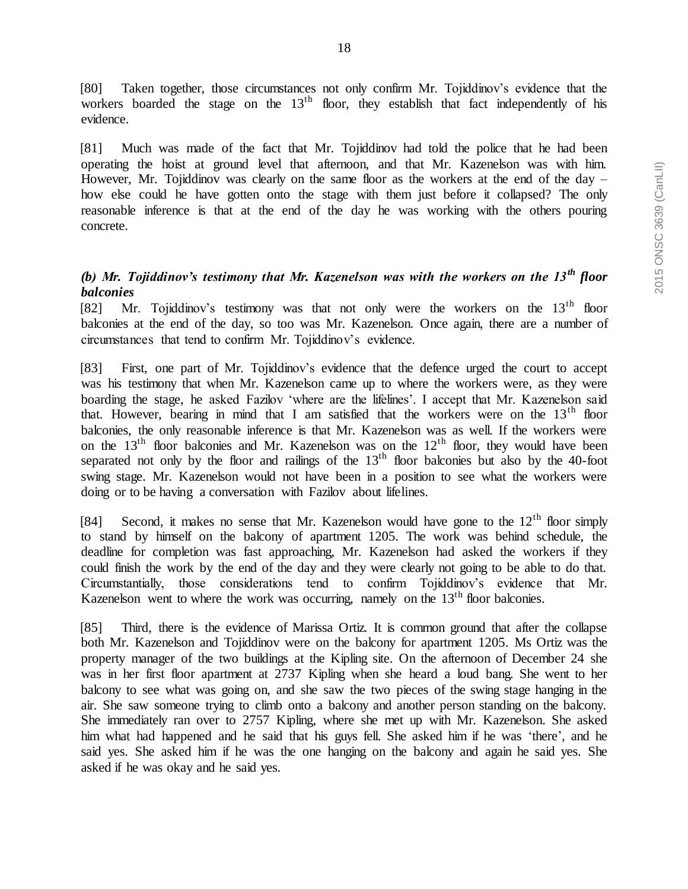[80] Taken together, those circumstances not only confirm Mr. Tojiddinov's evidence that the workers boarded the stage on the  $13<sup>th</sup>$  floor, they establish that fact independently of his evidence.

[81] Much was made of the fact that Mr. Tojiddinov had told the police that he had been operating the hoist at ground level that afternoon, and that Mr. Kazenelson was with him. However, Mr. Tojiddinov was clearly on the same floor as the workers at the end of the day – how else could he have gotten onto the stage with them just before it collapsed? The only reasonable inference is that at the end of the day he was working with the others pouring concrete.

# *(b) Mr. Tojiddinov's testimony that Mr. Kazenelson was with the workers on the 13th floor balconies*

[82] Mr. Tojiddinov's testimony was that not only were the workers on the  $13<sup>th</sup>$  floor balconies at the end of the day, so too was Mr. Kazenelson. Once again, there are a number of circumstances that tend to confirm Mr. Tojiddinov's evidence.

[83] First, one part of Mr. Tojiddinov's evidence that the defence urged the court to accept was his testimony that when Mr. Kazenelson came up to where the workers were, as they were boarding the stage, he asked Fazilov 'where are the lifelines'. I accept that Mr. Kazenelson said that. However, bearing in mind that I am satisfied that the workers were on the  $13<sup>th</sup>$  floor balconies, the only reasonable inference is that Mr. Kazenelson was as well. If the workers were on the  $13<sup>th</sup>$  floor balconies and Mr. Kazenelson was on the  $12<sup>th</sup>$  floor, they would have been separated not only by the floor and railings of the  $13<sup>th</sup>$  floor balconies but also by the 40-foot swing stage. Mr. Kazenelson would not have been in a position to see what the workers were doing or to be having a conversation with Fazilov about lifelines.

[84] Second, it makes no sense that Mr. Kazenelson would have gone to the  $12<sup>th</sup>$  floor simply to stand by himself on the balcony of apartment 1205. The work was behind schedule, the deadline for completion was fast approaching, Mr. Kazenelson had asked the workers if they could finish the work by the end of the day and they were clearly not going to be able to do that. Circumstantially, those considerations tend to confirm Tojiddinov's evidence that Mr. Kazenelson went to where the work was occurring, namely on the  $13<sup>th</sup>$  floor balconies.

[85] Third, there is the evidence of Marissa Ortiz. It is common ground that after the collapse both Mr. Kazenelson and Tojiddinov were on the balcony for apartment 1205. Ms Ortiz was the property manager of the two buildings at the Kipling site. On the afternoon of December 24 she was in her first floor apartment at 2737 Kipling when she heard a loud bang. She went to her balcony to see what was going on, and she saw the two pieces of the swing stage hanging in the air. She saw someone trying to climb onto a balcony and another person standing on the balcony. She immediately ran over to 2757 Kipling, where she met up with Mr. Kazenelson. She asked him what had happened and he said that his guys fell. She asked him if he was 'there', and he said yes. She asked him if he was the one hanging on the balcony and again he said yes. She asked if he was okay and he said yes.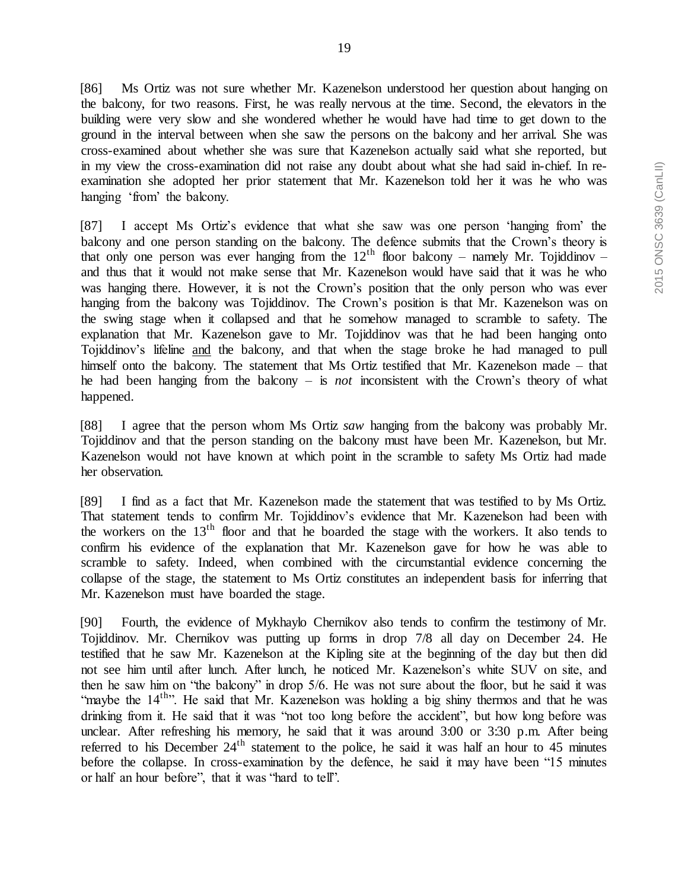[86] Ms Ortiz was not sure whether Mr. Kazenelson understood her question about hanging on the balcony, for two reasons. First, he was really nervous at the time. Second, the elevators in the building were very slow and she wondered whether he would have had time to get down to the ground in the interval between when she saw the persons on the balcony and her arrival. She was cross-examined about whether she was sure that Kazenelson actually said what she reported, but in my view the cross-examination did not raise any doubt about what she had said in-chief. In reexamination she adopted her prior statement that Mr. Kazenelson told her it was he who was hanging 'from' the balcony.

[87] I accept Ms Ortiz's evidence that what she saw was one person 'hanging from' the balcony and one person standing on the balcony. The defence submits that the Crown's theory is that only one person was ever hanging from the  $12<sup>th</sup>$  floor balcony – namely Mr. Tojiddinov – and thus that it would not make sense that Mr. Kazenelson would have said that it was he who was hanging there. However, it is not the Crown's position that the only person who was ever hanging from the balcony was Tojiddinov. The Crown's position is that Mr. Kazenelson was on the swing stage when it collapsed and that he somehow managed to scramble to safety. The explanation that Mr. Kazenelson gave to Mr. Tojiddinov was that he had been hanging onto Tojiddinov's lifeline and the balcony, and that when the stage broke he had managed to pull himself onto the balcony. The statement that Ms Ortiz testified that Mr. Kazenelson made – that he had been hanging from the balcony – is *not* inconsistent with the Crown's theory of what happened.

[88] I agree that the person whom Ms Ortiz *saw* hanging from the balcony was probably Mr. Tojiddinov and that the person standing on the balcony must have been Mr. Kazenelson, but Mr. Kazenelson would not have known at which point in the scramble to safety Ms Ortiz had made her observation.

[89] I find as a fact that Mr. Kazenelson made the statement that was testified to by Ms Ortiz. That statement tends to confirm Mr. Tojiddinov's evidence that Mr. Kazenelson had been with the workers on the  $13<sup>th</sup>$  floor and that he boarded the stage with the workers. It also tends to confirm his evidence of the explanation that Mr. Kazenelson gave for how he was able to scramble to safety. Indeed, when combined with the circumstantial evidence concerning the collapse of the stage, the statement to Ms Ortiz constitutes an independent basis for inferring that Mr. Kazenelson must have boarded the stage.

[90] Fourth, the evidence of Mykhaylo Chernikov also tends to confirm the testimony of Mr. Tojiddinov. Mr. Chernikov was putting up forms in drop 7/8 all day on December 24. He testified that he saw Mr. Kazenelson at the Kipling site at the beginning of the day but then did not see him until after lunch. After lunch, he noticed Mr. Kazenelson's white SUV on site, and then he saw him on "the balcony" in drop 5/6. He was not sure about the floor, but he said it was "maybe the 14<sup>th</sup>". He said that Mr. Kazenelson was holding a big shiny thermos and that he was drinking from it. He said that it was "not too long before the accident", but how long before was unclear. After refreshing his memory, he said that it was around 3:00 or 3:30 p.m. After being referred to his December  $24<sup>th</sup>$  statement to the police, he said it was half an hour to 45 minutes before the collapse. In cross-examination by the defence, he said it may have been "15 minutes or half an hour before", that it was "hard to tell".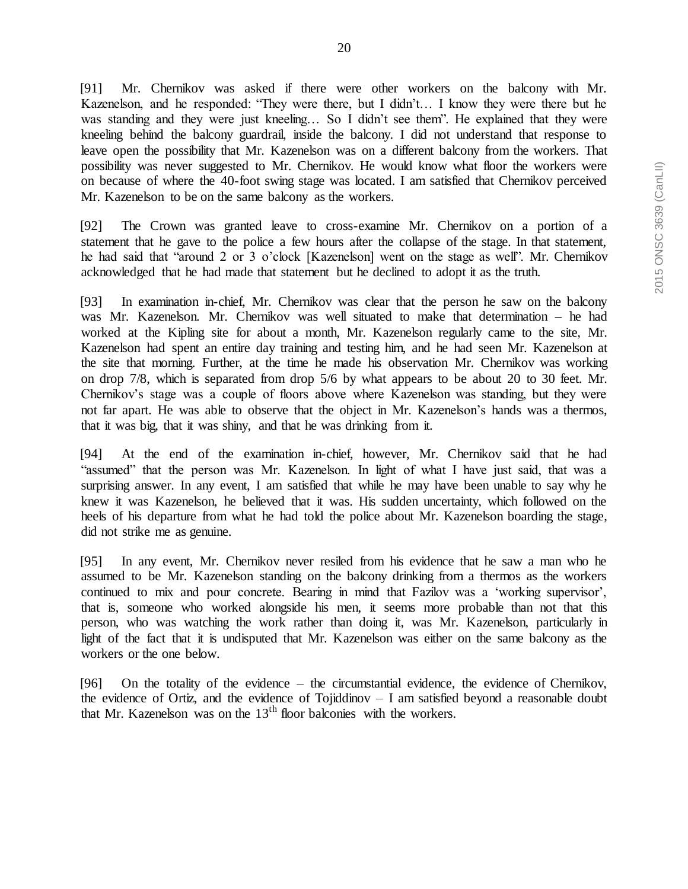[91] Mr. Chernikov was asked if there were other workers on the balcony with Mr. Kazenelson, and he responded: "They were there, but I didn't… I know they were there but he was standing and they were just kneeling... So I didn't see them". He explained that they were kneeling behind the balcony guardrail, inside the balcony. I did not understand that response to leave open the possibility that Mr. Kazenelson was on a different balcony from the workers. That possibility was never suggested to Mr. Chernikov. He would know what floor the workers were on because of where the 40-foot swing stage was located. I am satisfied that Chernikov perceived Mr. Kazenelson to be on the same balcony as the workers.

[92] The Crown was granted leave to cross-examine Mr. Chernikov on a portion of a statement that he gave to the police a few hours after the collapse of the stage. In that statement, he had said that "around 2 or 3 o'clock [Kazenelson] went on the stage as well". Mr. Chernikov acknowledged that he had made that statement but he declined to adopt it as the truth.

[93] In examination in-chief, Mr. Chernikov was clear that the person he saw on the balcony was Mr. Kazenelson. Mr. Chernikov was well situated to make that determination – he had worked at the Kipling site for about a month, Mr. Kazenelson regularly came to the site, Mr. Kazenelson had spent an entire day training and testing him, and he had seen Mr. Kazenelson at the site that morning. Further, at the time he made his observation Mr. Chernikov was working on drop 7/8, which is separated from drop 5/6 by what appears to be about 20 to 30 feet. Mr. Chernikov's stage was a couple of floors above where Kazenelson was standing, but they were not far apart. He was able to observe that the object in Mr. Kazenelson's hands was a thermos, that it was big, that it was shiny, and that he was drinking from it.

[94] At the end of the examination in-chief, however, Mr. Chernikov said that he had "assumed" that the person was Mr. Kazenelson. In light of what I have just said, that was a surprising answer. In any event, I am satisfied that while he may have been unable to say why he knew it was Kazenelson, he believed that it was. His sudden uncertainty, which followed on the heels of his departure from what he had told the police about Mr. Kazenelson boarding the stage, did not strike me as genuine.

[95] In any event, Mr. Chernikov never resiled from his evidence that he saw a man who he assumed to be Mr. Kazenelson standing on the balcony drinking from a thermos as the workers continued to mix and pour concrete. Bearing in mind that Fazilov was a 'working supervisor', that is, someone who worked alongside his men, it seems more probable than not that this person, who was watching the work rather than doing it, was Mr. Kazenelson, particularly in light of the fact that it is undisputed that Mr. Kazenelson was either on the same balcony as the workers or the one below.

[96] On the totality of the evidence – the circumstantial evidence, the evidence of Chernikov, the evidence of Ortiz, and the evidence of Tojiddinov – I am satisfied beyond a reasonable doubt that Mr. Kazenelson was on the  $13<sup>th</sup>$  floor balconies with the workers.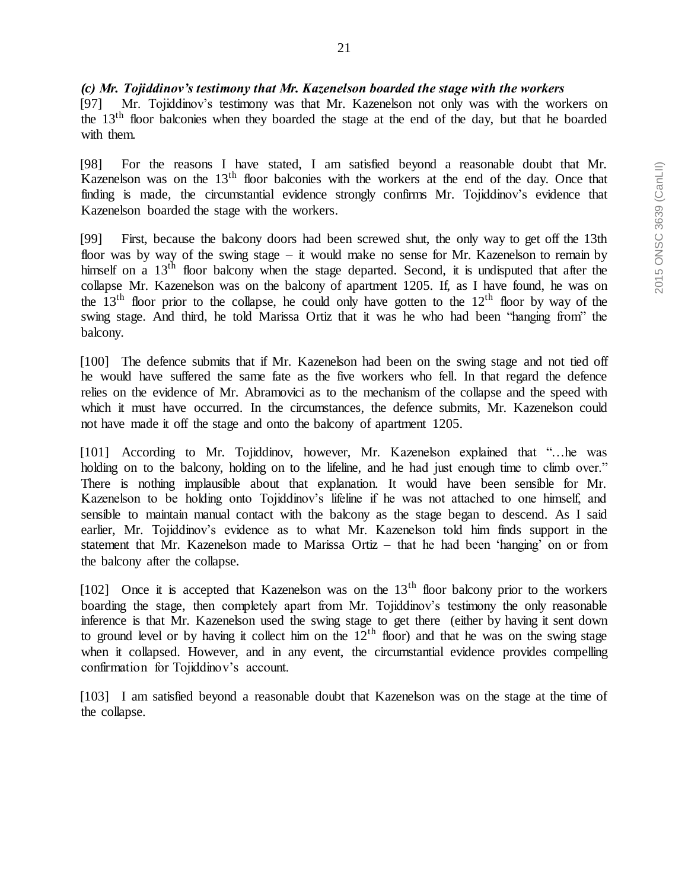#### *(c) Mr. Tojiddinov's testimony that Mr. Kazenelson boarded the stage with the workers*

[97] Mr. Tojiddinov's testimony was that Mr. Kazenelson not only was with the workers on the 13th floor balconies when they boarded the stage at the end of the day, but that he boarded with them.

[98] For the reasons I have stated, I am satisfied beyond a reasonable doubt that Mr. Kazenelson was on the 13<sup>th</sup> floor balconies with the workers at the end of the day. Once that finding is made, the circumstantial evidence strongly confirms Mr. Tojiddinov's evidence that Kazenelson boarded the stage with the workers.

[99] First, because the balcony doors had been screwed shut, the only way to get off the 13th floor was by way of the swing stage – it would make no sense for Mr. Kazenelson to remain by himself on a 13<sup>th</sup> floor balcony when the stage departed. Second, it is undisputed that after the collapse Mr. Kazenelson was on the balcony of apartment 1205. If, as I have found, he was on the 13<sup>th</sup> floor prior to the collapse, he could only have gotten to the  $12<sup>th</sup>$  floor by way of the swing stage. And third, he told Marissa Ortiz that it was he who had been "hanging from" the balcony.

[100] The defence submits that if Mr. Kazenelson had been on the swing stage and not tied off he would have suffered the same fate as the five workers who fell. In that regard the defence relies on the evidence of Mr. Abramovici as to the mechanism of the collapse and the speed with which it must have occurred. In the circumstances, the defence submits, Mr. Kazenelson could not have made it off the stage and onto the balcony of apartment 1205.

[101] According to Mr. Tojiddinov, however, Mr. Kazenelson explained that "…he was holding on to the balcony, holding on to the lifeline, and he had just enough time to climb over." There is nothing implausible about that explanation. It would have been sensible for Mr. Kazenelson to be holding onto Tojiddinov's lifeline if he was not attached to one himself, and sensible to maintain manual contact with the balcony as the stage began to descend. As I said earlier, Mr. Tojiddinov's evidence as to what Mr. Kazenelson told him finds support in the statement that Mr. Kazenelson made to Marissa Ortiz – that he had been 'hanging' on or from the balcony after the collapse.

[102] Once it is accepted that Kazenelson was on the  $13<sup>th</sup>$  floor balcony prior to the workers boarding the stage, then completely apart from Mr. Tojiddinov's testimony the only reasonable inference is that Mr. Kazenelson used the swing stage to get there (either by having it sent down to ground level or by having it collect him on the  $12<sup>th</sup>$  floor) and that he was on the swing stage when it collapsed. However, and in any event, the circumstantial evidence provides compelling confirmation for Tojiddinov's account.

[103] I am satisfied beyond a reasonable doubt that Kazenelson was on the stage at the time of the collapse.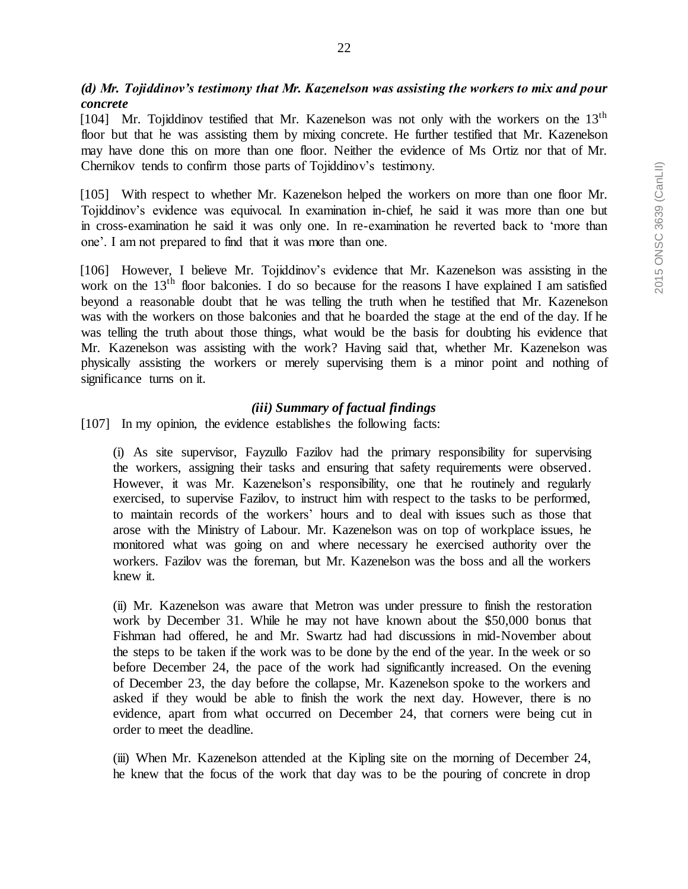# *(d) Mr. Tojiddinov's testimony that Mr. Kazenelson was assisting the workers to mix and pour concrete*

[104] Mr. Tojiddinov testified that Mr. Kazenelson was not only with the workers on the  $13<sup>th</sup>$ floor but that he was assisting them by mixing concrete. He further testified that Mr. Kazenelson may have done this on more than one floor. Neither the evidence of Ms Ortiz nor that of Mr. Chernikov tends to confirm those parts of Tojiddinov's testimony.

[105] With respect to whether Mr. Kazenelson helped the workers on more than one floor Mr. Tojiddinov's evidence was equivocal. In examination in-chief, he said it was more than one but in cross-examination he said it was only one. In re-examination he reverted back to 'more than one'. I am not prepared to find that it was more than one.

[106] However, I believe Mr. Tojiddinov's evidence that Mr. Kazenelson was assisting in the work on the  $13<sup>th</sup>$  floor balconies. I do so because for the reasons I have explained I am satisfied beyond a reasonable doubt that he was telling the truth when he testified that Mr. Kazenelson was with the workers on those balconies and that he boarded the stage at the end of the day. If he was telling the truth about those things, what would be the basis for doubting his evidence that Mr. Kazenelson was assisting with the work? Having said that, whether Mr. Kazenelson was physically assisting the workers or merely supervising them is a minor point and nothing of significance turns on it.

### *(iii) Summary of factual findings*

[107] In my opinion, the evidence establishes the following facts:

(i) As site supervisor, Fayzullo Fazilov had the primary responsibility for supervising the workers, assigning their tasks and ensuring that safety requirements were observed. However, it was Mr. Kazenelson's responsibility, one that he routinely and regularly exercised, to supervise Fazilov, to instruct him with respect to the tasks to be performed, to maintain records of the workers' hours and to deal with issues such as those that arose with the Ministry of Labour. Mr. Kazenelson was on top of workplace issues, he monitored what was going on and where necessary he exercised authority over the workers. Fazilov was the foreman, but Mr. Kazenelson was the boss and all the workers knew it.

(ii) Mr. Kazenelson was aware that Metron was under pressure to finish the restoration work by December 31. While he may not have known about the \$50,000 bonus that Fishman had offered, he and Mr. Swartz had had discussions in mid-November about the steps to be taken if the work was to be done by the end of the year. In the week or so before December 24, the pace of the work had significantly increased. On the evening of December 23, the day before the collapse, Mr. Kazenelson spoke to the workers and asked if they would be able to finish the work the next day. However, there is no evidence, apart from what occurred on December 24, that corners were being cut in order to meet the deadline.

(iii) When Mr. Kazenelson attended at the Kipling site on the morning of December 24, he knew that the focus of the work that day was to be the pouring of concrete in drop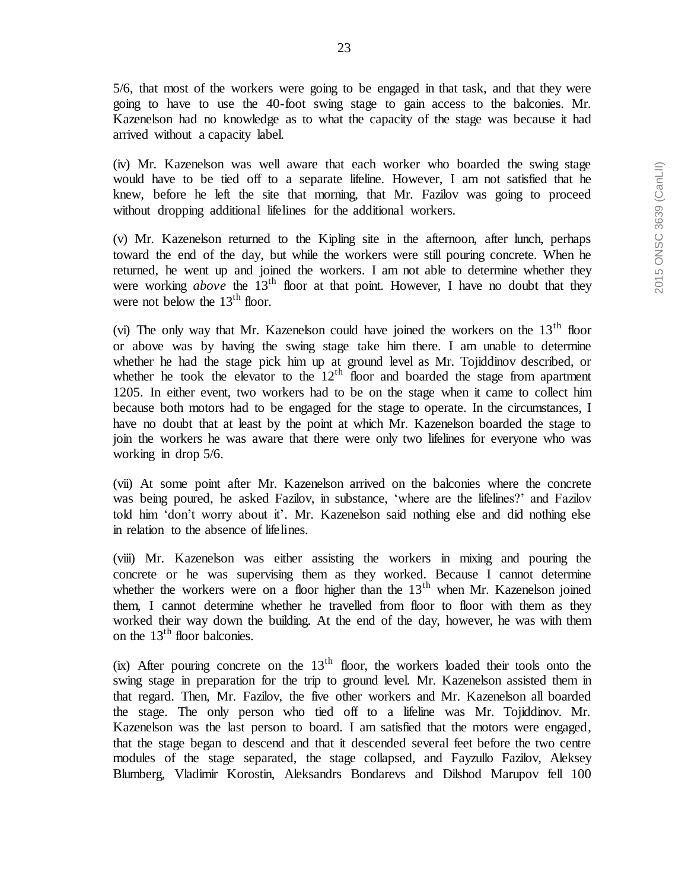23

5/6, that most of the workers were going to be engaged in that task, and that they were going to have to use the 40-foot swing stage to gain access to the balconies. Mr. Kazenelson had no knowledge as to what the capacity of the stage was because it had arrived without a capacity label.

(iv) Mr. Kazenelson was well aware that each worker who boarded the swing stage would have to be tied off to a separate lifeline. However, I am not satisfied that he knew, before he left the site that morning, that Mr. Fazilov was going to proceed without dropping additional lifelines for the additional workers.

(v) Mr. Kazenelson returned to the Kipling site in the afternoon, after lunch, perhaps toward the end of the day, but while the workers were still pouring concrete. When he returned, he went up and joined the workers. I am not able to determine whether they were working *above* the 13<sup>th</sup> floor at that point. However, I have no doubt that they were not below the  $13<sup>th</sup>$  floor.

(vi) The only way that Mr. Kazenelson could have joined the workers on the  $13<sup>th</sup>$  floor or above was by having the swing stage take him there. I am unable to determine whether he had the stage pick him up at ground level as Mr. Tojiddinov described, or whether he took the elevator to the  $12<sup>th</sup>$  floor and boarded the stage from apartment 1205. In either event, two workers had to be on the stage when it came to collect him because both motors had to be engaged for the stage to operate. In the circumstances, I have no doubt that at least by the point at which Mr. Kazenelson boarded the stage to join the workers he was aware that there were only two lifelines for everyone who was working in drop 5/6.

(vii) At some point after Mr. Kazenelson arrived on the balconies where the concrete was being poured, he asked Fazilov, in substance, 'where are the lifelines?' and Fazilov told him 'don't worry about it'. Mr. Kazenelson said nothing else and did nothing else in relation to the absence of lifelines.

(viii) Mr. Kazenelson was either assisting the workers in mixing and pouring the concrete or he was supervising them as they worked. Because I cannot determine whether the workers were on a floor higher than the  $13<sup>th</sup>$  when Mr. Kazenelson joined them, I cannot determine whether he travelled from floor to floor with them as they worked their way down the building. At the end of the day, however, he was with them on the  $13<sup>th</sup>$  floor balconies.

(ix) After pouring concrete on the  $13<sup>th</sup>$  floor, the workers loaded their tools onto the swing stage in preparation for the trip to ground level. Mr. Kazenelson assisted them in that regard. Then, Mr. Fazilov, the five other workers and Mr. Kazenelson all boarded the stage. The only person who tied off to a lifeline was Mr. Tojiddinov. Mr. Kazenelson was the last person to board. I am satisfied that the motors were engaged, that the stage began to descend and that it descended several feet before the two centre modules of the stage separated, the stage collapsed, and Fayzullo Fazilov, Aleksey Blumberg, Vladimir Korostin, Aleksandrs Bondarevs and Dilshod Marupov fell 100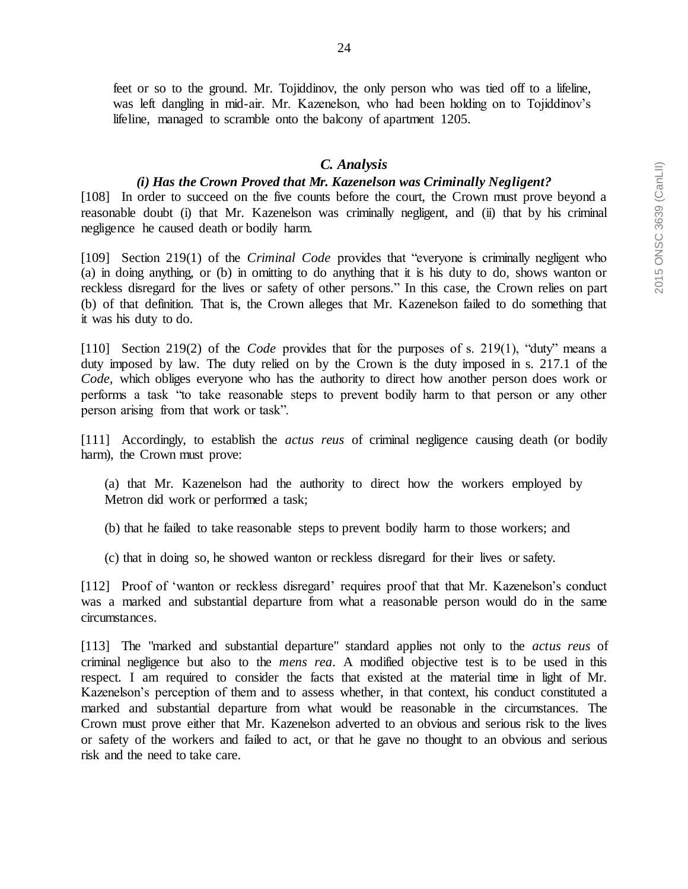feet or so to the ground. Mr. Tojiddinov, the only person who was tied off to a lifeline, was left dangling in mid-air. Mr. Kazenelson, who had been holding on to Tojiddinov's lifeline, managed to scramble onto the balcony of apartment 1205.

#### *C. Analysis*

#### *(i) Has the Crown Proved that Mr. Kazenelson was Criminally Negligent?*

[108] In order to succeed on the five counts before the court, the Crown must prove beyond a reasonable doubt (i) that Mr. Kazenelson was criminally negligent, and (ii) that by his criminal negligence he caused death or bodily harm.

[109] Section 219(1) of the *Criminal Code* provides that "everyone is criminally negligent who (a) in doing anything, or (b) in omitting to do anything that it is his duty to do, shows wanton or reckless disregard for the lives or safety of other persons." In this case, the Crown relies on part (b) of that definition. That is, the Crown alleges that Mr. Kazenelson failed to do something that it was his duty to do.

[110] Section 219(2) of the *Code* provides that for the purposes of s. 219(1), "duty" means a duty imposed by law. The duty relied on by the Crown is the duty imposed in s. 217.1 of the *Code,* which obliges everyone who has the authority to direct how another person does work or performs a task "to take reasonable steps to prevent bodily harm to that person or any other person arising from that work or task".

[111] Accordingly, to establish the *actus reus* of criminal negligence causing death (or bodily harm), the Crown must prove:

(a) that Mr. Kazenelson had the authority to direct how the workers employed by Metron did work or performed a task;

(b) that he failed to take reasonable steps to prevent bodily harm to those workers; and

(c) that in doing so, he showed wanton or reckless disregard for their lives or safety.

[112] Proof of 'wanton or reckless disregard' requires proof that that Mr. Kazenelson's conduct was a marked and substantial departure from what a reasonable person would do in the same circumstances.

[113] The "marked and substantial departure" standard applies not only to the *actus reus* of criminal negligence but also to the *mens rea*. A modified objective test is to be used in this respect. I am required to consider the facts that existed at the material time in light of Mr. Kazenelson's perception of them and to assess whether, in that context, his conduct constituted a marked and substantial departure from what would be reasonable in the circumstances. The Crown must prove either that Mr. Kazenelson adverted to an obvious and serious risk to the lives or safety of the workers and failed to act, or that he gave no thought to an obvious and serious risk and the need to take care.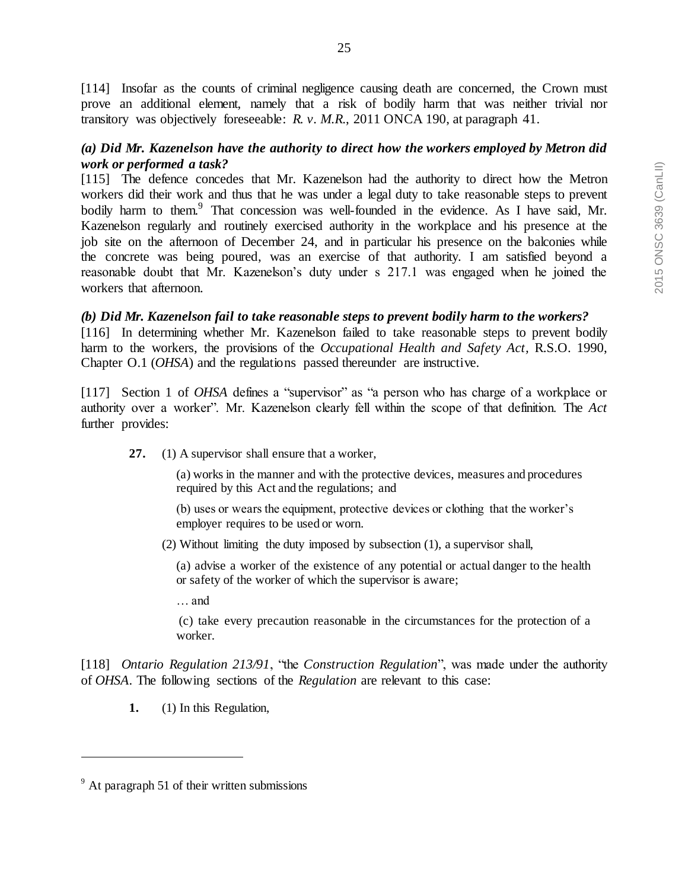[114] Insofar as the counts of criminal negligence causing death are concerned, the Crown must prove an additional element, namely that a risk of bodily harm that was neither trivial nor transitory was objectively foreseeable: *R. v. M.R*., 2011 ONCA 190, at paragraph 41.

### *(a) Did Mr. Kazenelson have the authority to direct how the workers employed by Metron did work or performed a task?*

[115] The defence concedes that Mr. Kazenelson had the authority to direct how the Metron workers did their work and thus that he was under a legal duty to take reasonable steps to prevent bodily harm to them.<sup>9</sup> That concession was well-founded in the evidence. As I have said, Mr. Kazenelson regularly and routinely exercised authority in the workplace and his presence at the job site on the afternoon of December 24, and in particular his presence on the balconies while the concrete was being poured, was an exercise of that authority. I am satisfied beyond a reasonable doubt that Mr. Kazenelson's duty under s 217.1 was engaged when he joined the workers that afternoon.

### *(b) Did Mr. Kazenelson fail to take reasonable steps to prevent bodily harm to the workers?*

[116] In determining whether Mr. Kazenelson failed to take reasonable steps to prevent bodily harm to the workers, the provisions of the *Occupational Health and Safety Act,* R.S.O. 1990, Chapter O.1 (*OHSA*) and the regulations passed thereunder are instructive.

[117] Section 1 of *OHSA* defines a "supervisor" as "a person who has charge of a workplace or authority over a worker". Mr. Kazenelson clearly fell within the scope of that definition. The *Act* further provides:

**27.** (1) A supervisor shall ensure that a worker,

(a) works in the manner and with the protective devices, measures and procedures required by this Act and the regulations; and

(b) uses or wears the equipment, protective devices or clothing that the worker's employer requires to be used or worn.

(2) Without limiting the duty imposed by subsection (1), a supervisor shall,

(a) advise a worker of the existence of any potential or actual danger to the health or safety of the worker of which the supervisor is aware;

… and

(c) take every precaution reasonable in the circumstances for the protection of a worker.

[118] *Ontario Regulation 213/91*, "the *Construction Regulation*", was made under the authority of *OHSA*. The following sections of the *Regulation* are relevant to this case:

**1.** (1) In this Regulation,

 $9<sup>9</sup>$  At paragraph 51 of their written submissions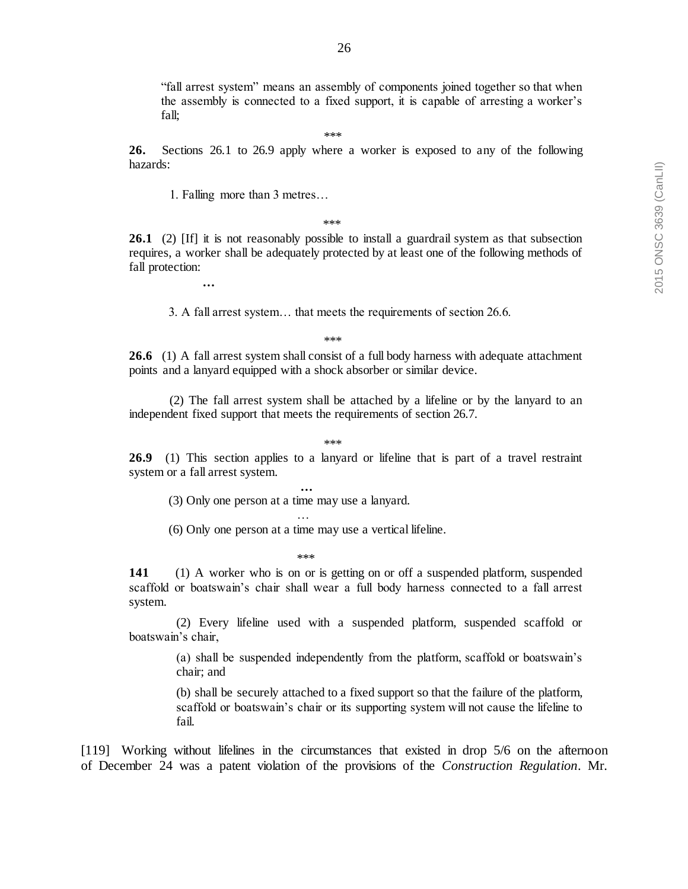"fall arrest system" means an assembly of components joined together so that when the assembly is connected to a fixed support, it is capable of arresting a worker's fall;

\*\*\*

**26.** Sections 26.1 to 26.9 apply where a worker is exposed to any of the following hazards:

1. Falling more than 3 metres…

**…**

\*\*\*

**26.1** (2) [If] it is not reasonably possible to install a guardrail system as that subsection requires, a worker shall be adequately protected by at least one of the following methods of fall protection:

3. A fall arrest system… that meets the requirements of section 26.6.

\*\*\*

**26.6** (1) A fall arrest system shall consist of a full body harness with adequate attachment points and a lanyard equipped with a shock absorber or similar device.

(2) The fall arrest system shall be attached by a lifeline or by the lanyard to an independent fixed support that meets the requirements of section 26.7.

\*\*\*

**26.9** (1) This section applies to a lanyard or lifeline that is part of a travel restraint system or a fall arrest system.

 **…** (3) Only one person at a time may use a lanyard. …

(6) Only one person at a time may use a vertical lifeline.

\*\*\*

**141** (1) A worker who is on or is getting on or off a suspended platform, suspended scaffold or boatswain's chair shall wear a full body harness connected to a fall arrest system.

(2) Every lifeline used with a suspended platform, suspended scaffold or boatswain's chair,

> (a) shall be suspended independently from the platform, scaffold or boatswain's chair; and

> (b) shall be securely attached to a fixed support so that the failure of the platform, scaffold or boatswain's chair or its supporting system will not cause the lifeline to fail.

[119] Working without lifelines in the circumstances that existed in drop 5/6 on the afternoon of December 24 was a patent violation of the provisions of the *Construction Regulation*. Mr.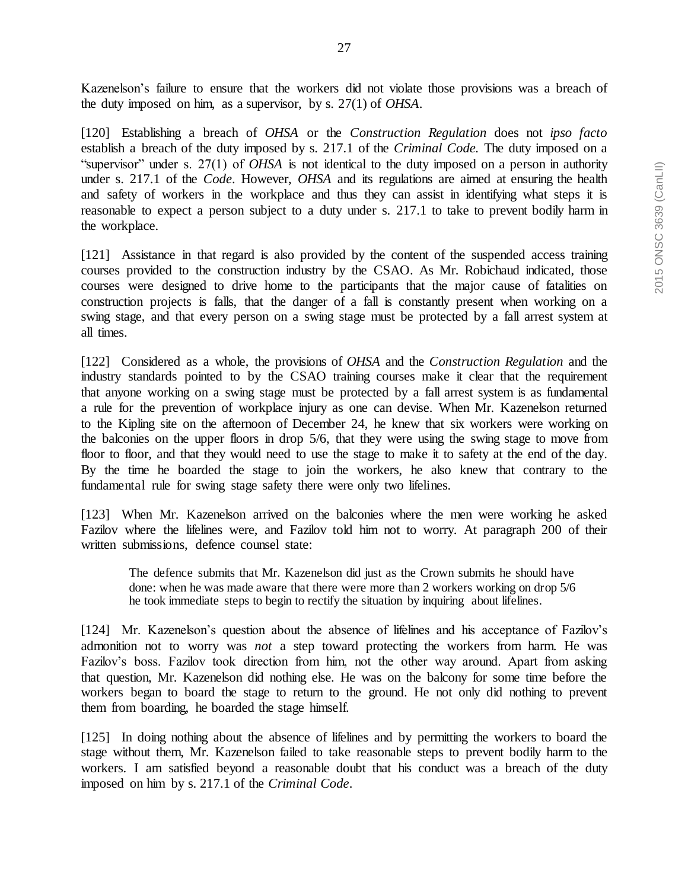Kazenelson's failure to ensure that the workers did not violate those provisions was a breach of the duty imposed on him, as a supervisor, by s. 27(1) of *OHSA*.

[120] Establishing a breach of *OHSA* or the *Construction Regulation* does not *ipso facto* establish a breach of the duty imposed by s. 217.1 of the *Criminal Code.* The duty imposed on a "supervisor" under s. 27(1) of *OHSA* is not identical to the duty imposed on a person in authority under s. 217.1 of the *Code*. However, *OHSA* and its regulations are aimed at ensuring the health and safety of workers in the workplace and thus they can assist in identifying what steps it is reasonable to expect a person subject to a duty under s. 217.1 to take to prevent bodily harm in the workplace.

[121] Assistance in that regard is also provided by the content of the suspended access training courses provided to the construction industry by the CSAO. As Mr. Robichaud indicated, those courses were designed to drive home to the participants that the major cause of fatalities on construction projects is falls, that the danger of a fall is constantly present when working on a swing stage, and that every person on a swing stage must be protected by a fall arrest system at all times.

[122] Considered as a whole, the provisions of *OHSA* and the *Construction Regulation* and the industry standards pointed to by the CSAO training courses make it clear that the requirement that anyone working on a swing stage must be protected by a fall arrest system is as fundamental a rule for the prevention of workplace injury as one can devise. When Mr. Kazenelson returned to the Kipling site on the afternoon of December 24, he knew that six workers were working on the balconies on the upper floors in drop 5/6, that they were using the swing stage to move from floor to floor, and that they would need to use the stage to make it to safety at the end of the day. By the time he boarded the stage to join the workers, he also knew that contrary to the fundamental rule for swing stage safety there were only two lifelines.

[123] When Mr. Kazenelson arrived on the balconies where the men were working he asked Fazilov where the lifelines were, and Fazilov told him not to worry. At paragraph 200 of their written submissions, defence counsel state:

The defence submits that Mr. Kazenelson did just as the Crown submits he should have done: when he was made aware that there were more than 2 workers working on drop 5/6 he took immediate steps to begin to rectify the situation by inquiring about lifelines.

[124] Mr. Kazenelson's question about the absence of lifelines and his acceptance of Fazilov's admonition not to worry was *not* a step toward protecting the workers from harm. He was Fazilov's boss. Fazilov took direction from him, not the other way around. Apart from asking that question, Mr. Kazenelson did nothing else. He was on the balcony for some time before the workers began to board the stage to return to the ground. He not only did nothing to prevent them from boarding, he boarded the stage himself.

[125] In doing nothing about the absence of lifelines and by permitting the workers to board the stage without them, Mr. Kazenelson failed to take reasonable steps to prevent bodily harm to the workers. I am satisfied beyond a reasonable doubt that his conduct was a breach of the duty imposed on him by s. 217.1 of the *Criminal Code*.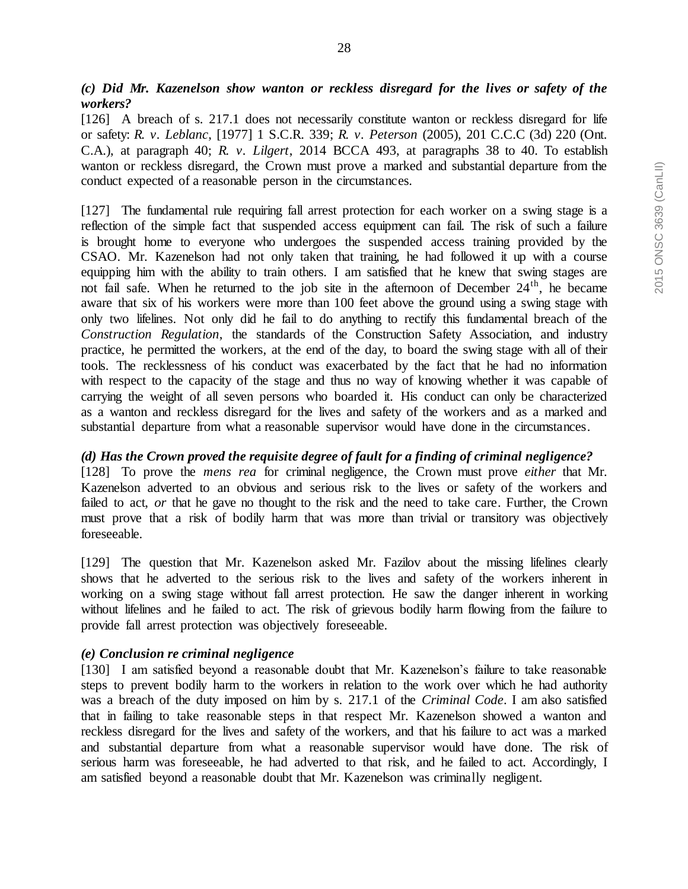[126] A breach of s. 217.1 does not necessarily constitute wanton or reckless disregard for life or safety: *R. v. Leblanc*, [1977] 1 S.C.R. 339; *R. v. Peterson* (2005), 201 C.C.C (3d) 220 (Ont. C.A.), at paragraph 40; *R. v. Lilgert*, 2014 BCCA 493, at paragraphs 38 to 40. To establish wanton or reckless disregard, the Crown must prove a marked and substantial departure from the conduct expected of a reasonable person in the circumstances.

[127] The fundamental rule requiring fall arrest protection for each worker on a swing stage is a reflection of the simple fact that suspended access equipment can fail. The risk of such a failure is brought home to everyone who undergoes the suspended access training provided by the CSAO. Mr. Kazenelson had not only taken that training, he had followed it up with a course equipping him with the ability to train others. I am satisfied that he knew that swing stages are not fail safe. When he returned to the job site in the afternoon of December  $24<sup>th</sup>$ , he became aware that six of his workers were more than 100 feet above the ground using a swing stage with only two lifelines. Not only did he fail to do anything to rectify this fundamental breach of the *Construction Regulation*, the standards of the Construction Safety Association, and industry practice, he permitted the workers, at the end of the day, to board the swing stage with all of their tools. The recklessness of his conduct was exacerbated by the fact that he had no information with respect to the capacity of the stage and thus no way of knowing whether it was capable of carrying the weight of all seven persons who boarded it. His conduct can only be characterized as a wanton and reckless disregard for the lives and safety of the workers and as a marked and substantial departure from what a reasonable supervisor would have done in the circumstances.

### *(d) Has the Crown proved the requisite degree of fault for a finding of criminal negligence?*

[128] To prove the *mens rea* for criminal negligence, the Crown must prove *either* that Mr. Kazenelson adverted to an obvious and serious risk to the lives or safety of the workers and failed to act, *or* that he gave no thought to the risk and the need to take care. Further, the Crown must prove that a risk of bodily harm that was more than trivial or transitory was objectively foreseeable.

[129] The question that Mr. Kazenelson asked Mr. Fazilov about the missing lifelines clearly shows that he adverted to the serious risk to the lives and safety of the workers inherent in working on a swing stage without fall arrest protection. He saw the danger inherent in working without lifelines and he failed to act. The risk of grievous bodily harm flowing from the failure to provide fall arrest protection was objectively foreseeable.

### *(e) Conclusion re criminal negligence*

[130] I am satisfied beyond a reasonable doubt that Mr. Kazenelson's failure to take reasonable steps to prevent bodily harm to the workers in relation to the work over which he had authority was a breach of the duty imposed on him by s. 217.1 of the *Criminal Code*. I am also satisfied that in failing to take reasonable steps in that respect Mr. Kazenelson showed a wanton and reckless disregard for the lives and safety of the workers, and that his failure to act was a marked and substantial departure from what a reasonable supervisor would have done. The risk of serious harm was foreseeable, he had adverted to that risk, and he failed to act. Accordingly, I am satisfied beyond a reasonable doubt that Mr. Kazenelson was criminally negligent.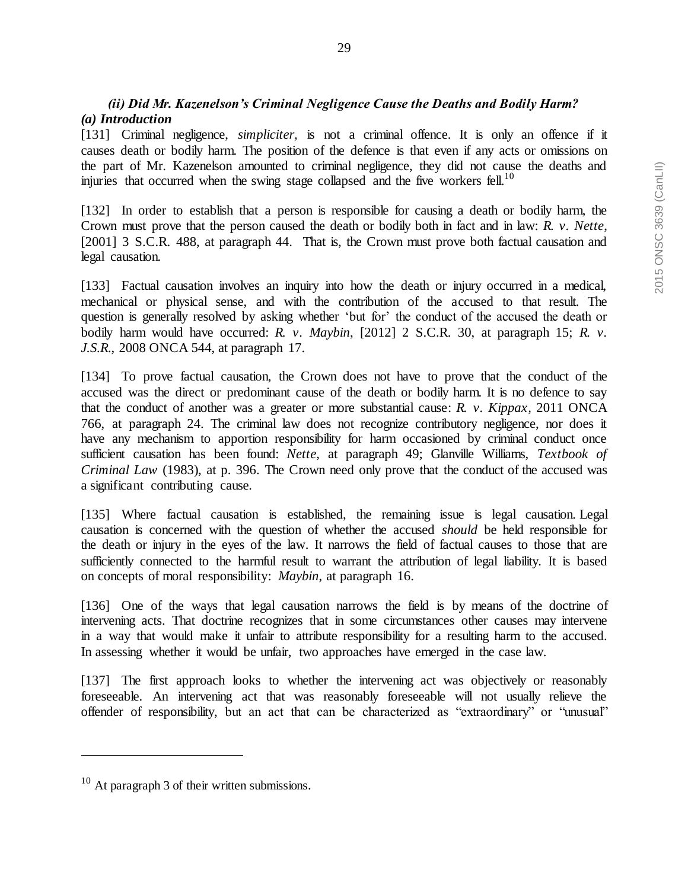# *(ii) Did Mr. Kazenelson's Criminal Negligence Cause the Deaths and Bodily Harm? (a) Introduction*

[131] Criminal negligence, *simpliciter,* is not a criminal offence. It is only an offence if it causes death or bodily harm. The position of the defence is that even if any acts or omissions on the part of Mr. Kazenelson amounted to criminal negligence, they did not cause the deaths and injuries that occurred when the swing stage collapsed and the five workers fell.<sup>10</sup>

[132] In order to establish that a person is responsible for causing a death or bodily harm, the Crown must prove that the person caused the death or bodily both in fact and in law: *R. v. Nette*, [2001] 3 S.C.R. 488, at paragraph 44. That is, the Crown must prove both factual causation and legal causation.

[133] Factual causation involves an inquiry into how the death or injury occurred in a medical, mechanical or physical sense, and with the contribution of the accused to that result. The question is generally resolved by asking whether 'but for' the conduct of the accused the death or bodily harm would have occurred: *R. v. Maybin*, [2012] 2 S.C.R. 30, at paragraph 15; *R. v. J.S.R*., 2008 ONCA 544, at paragraph 17.

[134] To prove factual causation, the Crown does not have to prove that the conduct of the accused was the direct or predominant cause of the death or bodily harm. It is no defence to say that the conduct of another was a greater or more substantial cause: *R. v. Kippax*, 2011 ONCA 766, at paragraph 24. The criminal law does not recognize contributory negligence, nor does it have any mechanism to apportion responsibility for harm occasioned by criminal conduct once sufficient causation has been found: *Nette*, at paragraph 49; Glanville Williams, *Textbook of Criminal Law* (1983), at p. 396. The Crown need only prove that the conduct of the accused was a significant contributing cause.

[135] Where factual causation is established, the remaining issue is legal causation. Legal causation is concerned with the question of whether the accused *should* be held responsible for the death or injury in the eyes of the law. It narrows the field of factual causes to those that are sufficiently connected to the harmful result to warrant the attribution of legal liability. It is based on concepts of moral responsibility: *Maybin*, at paragraph 16.

[136] One of the ways that legal causation narrows the field is by means of the doctrine of intervening acts. That doctrine recognizes that in some circumstances other causes may intervene in a way that would make it unfair to attribute responsibility for a resulting harm to the accused. In assessing whether it would be unfair, two approaches have emerged in the case law.

[137] The first approach looks to whether the intervening act was objectively or reasonably foreseeable. An intervening act that was reasonably foreseeable will not usually relieve the offender of responsibility, but an act that can be characterized as "extraordinary" or "unusual"

<sup>10</sup> At paragraph 3 of their written submissions.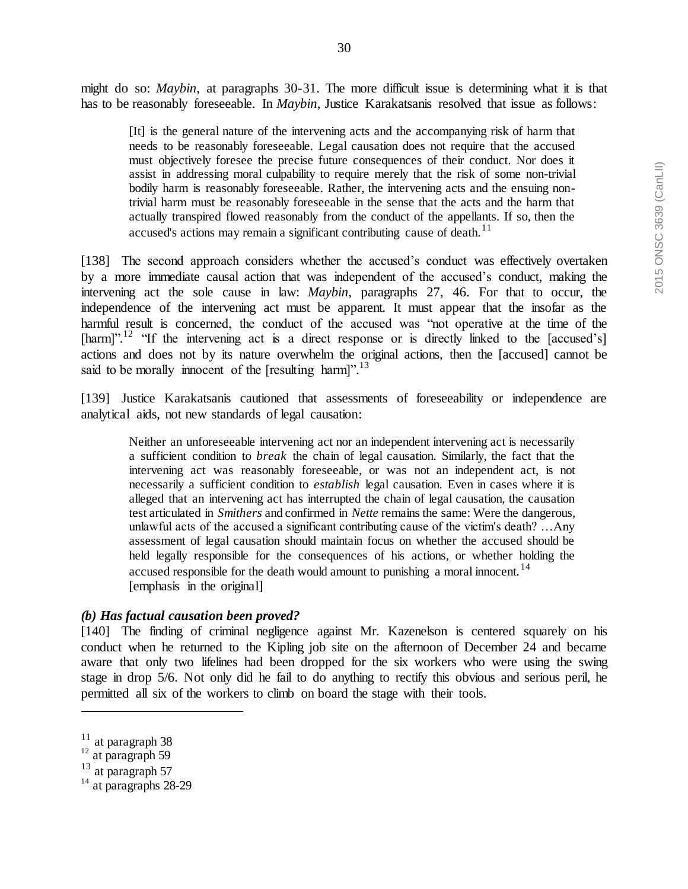might do so: *Maybin*, at paragraphs 30-31. The more difficult issue is determining what it is that has to be reasonably foreseeable. In *Maybin*, Justice Karakatsanis resolved that issue as follows:

[It] is the general nature of the intervening acts and the accompanying risk of harm that needs to be reasonably foreseeable. Legal causation does not require that the accused must objectively foresee the precise future consequences of their conduct. Nor does it assist in addressing moral culpability to require merely that the risk of some non-trivial bodily harm is reasonably foreseeable. Rather, the intervening acts and the ensuing nontrivial harm must be reasonably foreseeable in the sense that the acts and the harm that actually transpired flowed reasonably from the conduct of the appellants. If so, then the accused's actions may remain a significant contributing cause of death.<sup>11</sup>

[138] The second approach considers whether the accused's conduct was effectively overtaken by a more immediate causal action that was independent of the accused's conduct, making the intervening act the sole cause in law: *Maybin*, paragraphs 27, 46. For that to occur, the independence of the intervening act must be apparent. It must appear that the insofar as the harmful result is concerned, the conduct of the accused was "not operative at the time of the [harm]".<sup>12</sup> "If the intervening act is a direct response or is directly linked to the [accused's] actions and does not by its nature overwhelm the original actions, then the [accused] cannot be said to be morally innocent of the [resulting harm]".<sup>13</sup>

[139] Justice Karakatsanis cautioned that assessments of foreseeability or independence are analytical aids, not new standards of legal causation:

Neither an unforeseeable intervening act nor an independent intervening act is necessarily a sufficient condition to *break* the chain of legal causation. Similarly, the fact that the intervening act was reasonably foreseeable, or was not an independent act, is not necessarily a sufficient condition to *establish* legal causation. Even in cases where it is alleged that an intervening act has interrupted the chain of legal causation, the causation test articulated in *Smithers* and confirmed in *Nette* remains the same: Were the dangerous, unlawful acts of the accused a significant contributing cause of the victim's death? …Any assessment of legal causation should maintain focus on whether the accused should be held legally responsible for the consequences of his actions, or whether holding the accused responsible for the death would amount to punishing a moral innocent.<sup>14</sup> [emphasis in the original]

### *(b) Has factual causation been proved?*

[140] The finding of criminal negligence against Mr. Kazenelson is centered squarely on his conduct when he returned to the Kipling job site on the afternoon of December 24 and became aware that only two lifelines had been dropped for the six workers who were using the swing stage in drop 5/6. Not only did he fail to do anything to rectify this obvious and serious peril, he permitted all six of the workers to climb on board the stage with their tools.

 $11$  at paragraph 38

 $\frac{12}{3}$  at paragraph 59

<sup>13</sup> at paragraph 57

 $14$  at paragraphs 28-29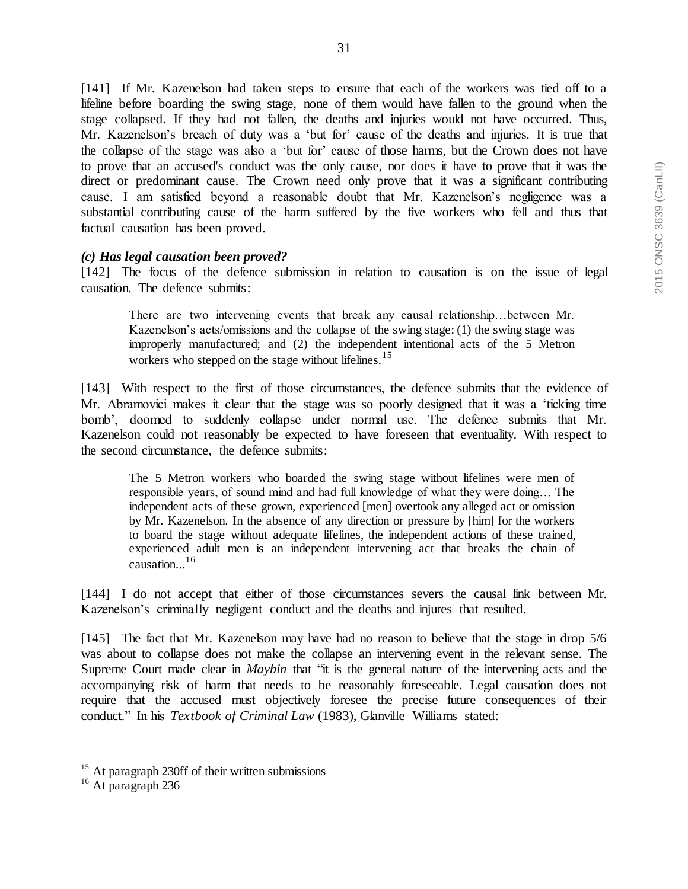[141] If Mr. Kazenelson had taken steps to ensure that each of the workers was tied off to a lifeline before boarding the swing stage, none of them would have fallen to the ground when the stage collapsed. If they had not fallen, the deaths and injuries would not have occurred. Thus, Mr. Kazenelson's breach of duty was a 'but for' cause of the deaths and injuries. It is true that the collapse of the stage was also a 'but for' cause of those harms, but the Crown does not have to prove that an accused's conduct was the only cause, nor does it have to prove that it was the direct or predominant cause. The Crown need only prove that it was a significant contributing cause. I am satisfied beyond a reasonable doubt that Mr. Kazenelson's negligence was a substantial contributing cause of the harm suffered by the five workers who fell and thus that factual causation has been proved.

#### *(c) Has legal causation been proved?*

[142] The focus of the defence submission in relation to causation is on the issue of legal causation. The defence submits:

There are two intervening events that break any causal relationship…between Mr. Kazenelson's acts/omissions and the collapse of the swing stage: (1) the swing stage was improperly manufactured; and (2) the independent intentional acts of the 5 Metron workers who stepped on the stage without lifelines.<sup>15</sup>

[143] With respect to the first of those circumstances, the defence submits that the evidence of Mr. Abramovici makes it clear that the stage was so poorly designed that it was a 'ticking time bomb', doomed to suddenly collapse under normal use. The defence submits that Mr. Kazenelson could not reasonably be expected to have foreseen that eventuality. With respect to the second circumstance, the defence submits:

The 5 Metron workers who boarded the swing stage without lifelines were men of responsible years, of sound mind and had full knowledge of what they were doing… The independent acts of these grown, experienced [men] overtook any alleged act or omission by Mr. Kazenelson. In the absence of any direction or pressure by [him] for the workers to board the stage without adequate lifelines, the independent actions of these trained, experienced adult men is an independent intervening act that breaks the chain of causation... 16

[144] I do not accept that either of those circumstances severs the causal link between Mr. Kazenelson's criminally negligent conduct and the deaths and injures that resulted.

[145] The fact that Mr. Kazenelson may have had no reason to believe that the stage in drop 5/6 was about to collapse does not make the collapse an intervening event in the relevant sense. The Supreme Court made clear in *Maybin* that "it is the general nature of the intervening acts and the accompanying risk of harm that needs to be reasonably foreseeable. Legal causation does not require that the accused must objectively foresee the precise future consequences of their conduct." In his *Textbook of Criminal Law* (1983), Glanville Williams stated:

 $15$  At paragraph 230ff of their written submissions

<sup>&</sup>lt;sup>16</sup> At paragraph 236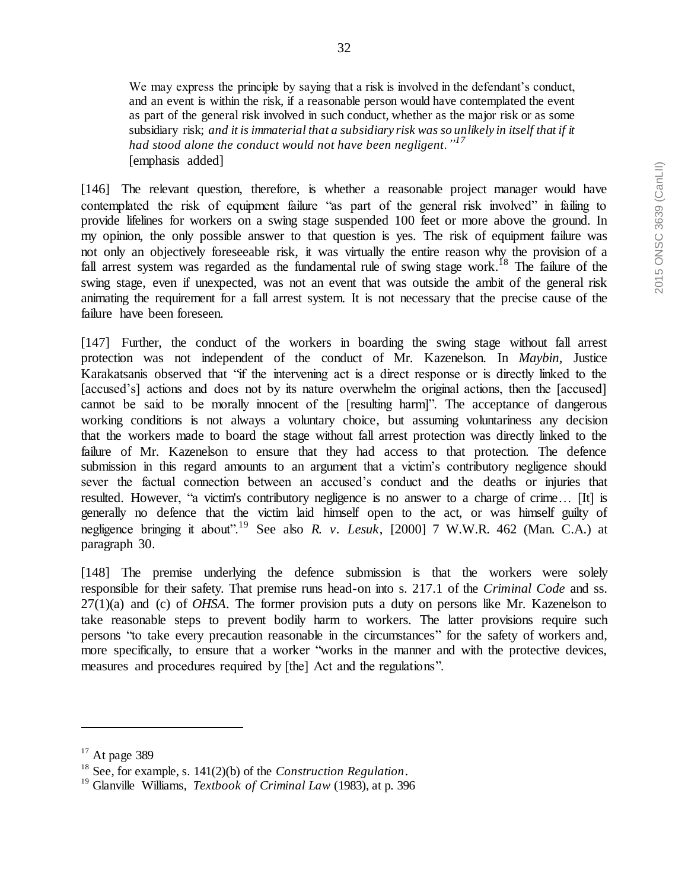We may express the principle by saying that a risk is involved in the defendant's conduct, and an event is within the risk, if a reasonable person would have contemplated the event as part of the general risk involved in such conduct, whether as the major risk or as some subsidiary risk; *and it is immaterial that a subsidiary risk was so unlikely in itself that if it had stood alone the conduct would not have been negligent."<sup>17</sup>* [emphasis added]

[146] The relevant question, therefore, is whether a reasonable project manager would have contemplated the risk of equipment failure "as part of the general risk involved" in failing to provide lifelines for workers on a swing stage suspended 100 feet or more above the ground. In my opinion, the only possible answer to that question is yes. The risk of equipment failure was not only an objectively foreseeable risk, it was virtually the entire reason why the provision of a fall arrest system was regarded as the fundamental rule of swing stage work.<sup>18</sup> The failure of the swing stage, even if unexpected, was not an event that was outside the ambit of the general risk animating the requirement for a fall arrest system. It is not necessary that the precise cause of the failure have been foreseen.

[147] Further, the conduct of the workers in boarding the swing stage without fall arrest protection was not independent of the conduct of Mr. Kazenelson. In *Maybin*, Justice Karakatsanis observed that "if the intervening act is a direct response or is directly linked to the [accused's] actions and does not by its nature overwhelm the original actions, then the [accused] cannot be said to be morally innocent of the [resulting harm]". The acceptance of dangerous working conditions is not always a voluntary choice, but assuming voluntariness any decision that the workers made to board the stage without fall arrest protection was directly linked to the failure of Mr. Kazenelson to ensure that they had access to that protection. The defence submission in this regard amounts to an argument that a victim's contributory negligence should sever the factual connection between an accused's conduct and the deaths or injuries that resulted. However, "a victim's contributory negligence is no answer to a charge of crime… [It] is generally no defence that the victim laid himself open to the act, or was himself guilty of negligence bringing it about".<sup>19</sup> See also *R. v. Lesuk*, [2000] 7 W.W.R. 462 (Man. C.A.) at paragraph 30.

[148] The premise underlying the defence submission is that the workers were solely responsible for their safety. That premise runs head-on into s. 217.1 of the *Criminal Code* and ss. 27(1)(a) and (c) of *OHSA*. The former provision puts a duty on persons like Mr. Kazenelson to take reasonable steps to prevent bodily harm to workers. The latter provisions require such persons "to take every precaution reasonable in the circumstances" for the safety of workers and, more specifically, to ensure that a worker "works in the manner and with the protective devices, measures and procedures required by [the] Act and the regulations".

 $17$  At page 389

<sup>18</sup> See, for example, s. 141(2)(b) of the *Construction Regulation*.

<sup>19</sup> Glanville Williams, *Textbook of Criminal Law* (1983), at p. 396